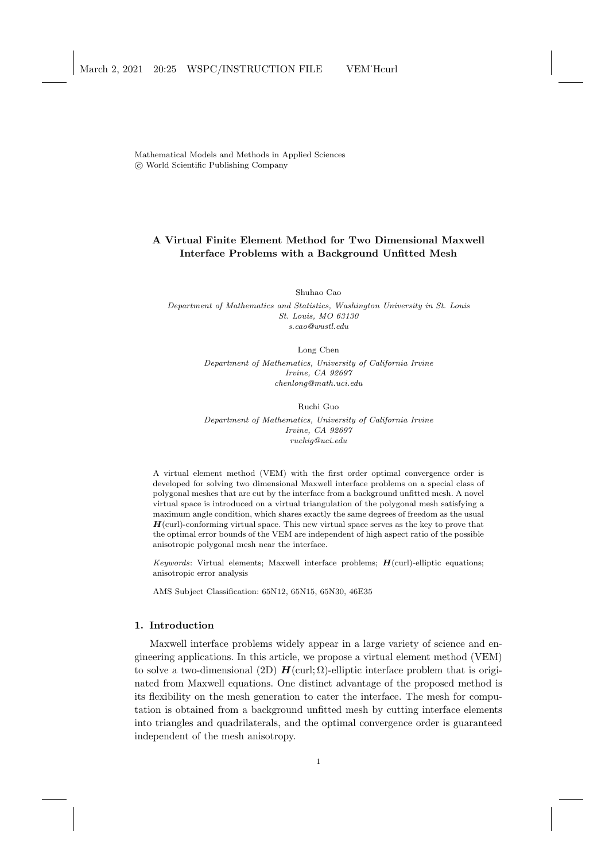Mathematical Models and Methods in Applied Sciences c World Scientific Publishing Company

# A Virtual Finite Element Method for Two Dimensional Maxwell Interface Problems with a Background Unfitted Mesh

Shuhao Cao

Department of Mathematics and Statistics, Washington University in St. Louis St. Louis, MO 63130 s.cao@wustl.edu

> Long Chen Department of Mathematics, University of California Irvine Irvine, CA 92697 chenlong@math.uci.edu

> > Ruchi Guo

Department of Mathematics, University of California Irvine Irvine, CA 92697 ruchig@uci.edu

A virtual element method (VEM) with the first order optimal convergence order is developed for solving two dimensional Maxwell interface problems on a special class of polygonal meshes that are cut by the interface from a background unfitted mesh. A novel virtual space is introduced on a virtual triangulation of the polygonal mesh satisfying a maximum angle condition, which shares exactly the same degrees of freedom as the usual  $H$ (curl)-conforming virtual space. This new virtual space serves as the key to prove that the optimal error bounds of the VEM are independent of high aspect ratio of the possible anisotropic polygonal mesh near the interface.

Keywords: Virtual elements; Maxwell interface problems;  $H$ (curl)-elliptic equations; anisotropic error analysis

AMS Subject Classification: 65N12, 65N15, 65N30, 46E35

# 1. Introduction

Maxwell interface problems widely appear in a large variety of science and engineering applications. In this article, we propose a virtual element method (VEM) to solve a two-dimensional (2D)  $H(\text{curl}; \Omega)$ -elliptic interface problem that is originated from Maxwell equations. One distinct advantage of the proposed method is its flexibility on the mesh generation to cater the interface. The mesh for computation is obtained from a background unfitted mesh by cutting interface elements into triangles and quadrilaterals, and the optimal convergence order is guaranteed independent of the mesh anisotropy.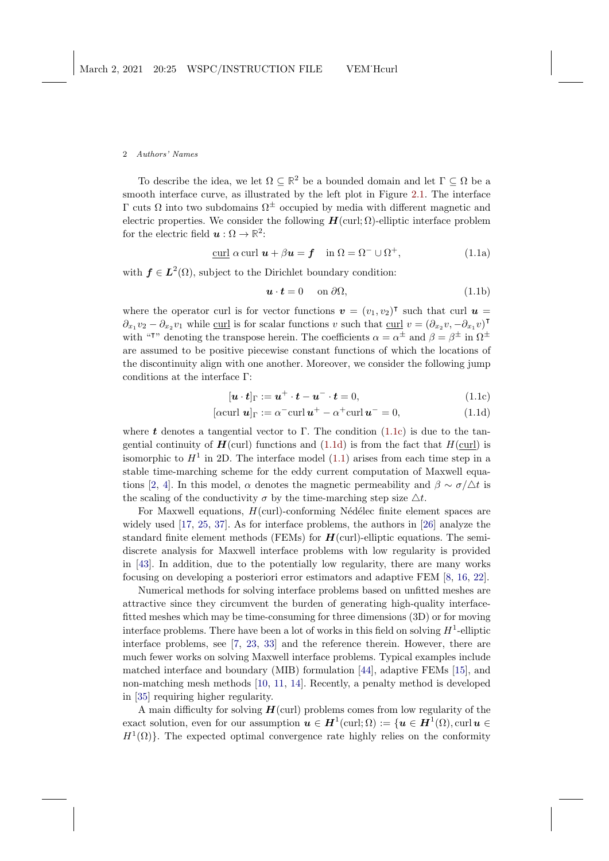<span id="page-1-4"></span>To describe the idea, we let  $\Omega \subseteq \mathbb{R}^2$  be a bounded domain and let  $\Gamma \subseteq \Omega$  be a smooth interface curve, as illustrated by the left plot in Figure [2.1.](#page-4-0) The interface  $Γ$  cuts Ω into two subdomains  $Ω<sup>±</sup>$  occupied by media with different magnetic and electric properties. We consider the following  $H(\text{curl}; \Omega)$ -elliptic interface problem for the electric field  $u : \Omega \to \mathbb{R}^2$ :

<span id="page-1-2"></span>
$$
\underline{\text{curl}} \alpha \text{ curl } \mathbf{u} + \beta \mathbf{u} = \mathbf{f} \quad \text{in } \Omega = \Omega^- \cup \Omega^+, \tag{1.1a}
$$

with  $f \in L^2(\Omega)$ , subject to the Dirichlet boundary condition:

<span id="page-1-3"></span><span id="page-1-1"></span><span id="page-1-0"></span>
$$
\mathbf{u} \cdot \mathbf{t} = 0 \quad \text{on } \partial \Omega,\tag{1.1b}
$$

where the operator curl is for vector functions  $\mathbf{v} = (v_1, v_2)^\intercal$  such that curl  $\mathbf{u} =$  $\partial_{x_1} v_2 - \partial_{x_2} v_1$  while curl is for scalar functions v such that curl  $v = (\partial_{x_2} v, -\partial_{x_1} v)$ <sup>T</sup> with "<sup>†</sup>" denoting the transpose herein. The coefficients  $\alpha = \alpha^{\pm}$  and  $\beta = \beta^{\pm}$  in  $\Omega^{\pm}$ are assumed to be positive piecewise constant functions of which the locations of the discontinuity align with one another. Moreover, we consider the following jump conditions at the interface Γ:

$$
[\boldsymbol{u} \cdot \boldsymbol{t}]_{\Gamma} := \boldsymbol{u}^+ \cdot \boldsymbol{t} - \boldsymbol{u}^- \cdot \boldsymbol{t} = 0, \qquad (1.1c)
$$

$$
[\alpha \operatorname{curl} \mathbf{u}]_{\Gamma} := \alpha^{-} \operatorname{curl} \mathbf{u}^{+} - \alpha^{+} \operatorname{curl} \mathbf{u}^{-} = 0, \qquad (1.1d)
$$

where t denotes a tangential vector to Γ. The condition  $(1.1c)$  is due to the tangential continuity of  $H$ (curl) functions and [\(1.1d\)](#page-1-1) is from the fact that  $H$ (curl) is isomorphic to  $H<sup>1</sup>$  in 2D. The interface model [\(1.1\)](#page-1-2) arises from each time step in a stable time-marching scheme for the eddy current computation of Maxwell equa-tions [\[2,](#page-24-0) [4\]](#page-25-0). In this model,  $\alpha$  denotes the magnetic permeability and  $\beta \sim \sigma/\Delta t$  is the scaling of the conductivity  $\sigma$  by the time-marching step size  $\Delta t$ .

For Maxwell equations,  $H(\text{curl})$ -conforming Nédélec finite element spaces are widely used [\[17,](#page-25-1) [25,](#page-26-0) [37\]](#page-27-0). As for interface problems, the authors in [\[26\]](#page-26-1) analyze the standard finite element methods (FEMs) for  $H(\text{curl})$ -elliptic equations. The semidiscrete analysis for Maxwell interface problems with low regularity is provided in [\[43\]](#page-27-1). In addition, due to the potentially low regularity, there are many works focusing on developing a posteriori error estimators and adaptive FEM [\[8,](#page-25-2) [16,](#page-25-3) [22\]](#page-26-2).

Numerical methods for solving interface problems based on unfitted meshes are attractive since they circumvent the burden of generating high-quality interfacefitted meshes which may be time-consuming for three dimensions (3D) or for moving interface problems. There have been a lot of works in this field on solving  $H^1$ -elliptic interface problems, see [\[7,](#page-25-4) [23,](#page-26-3) [33\]](#page-26-4) and the reference therein. However, there are much fewer works on solving Maxwell interface problems. Typical examples include matched interface and boundary (MIB) formulation [\[44\]](#page-27-2), adaptive FEMs [\[15\]](#page-25-5), and non-matching mesh methods [\[10,](#page-25-6) [11,](#page-25-7) [14\]](#page-25-8). Recently, a penalty method is developed in [\[35\]](#page-26-5) requiring higher regularity.

A main difficulty for solving  $H$ (curl) problems comes from low regularity of the exact solution, even for our assumption  $u \in H^1(\text{curl}; \Omega) := \{u \in H^1(\Omega), \text{curl } u \in$  $H^1(\Omega)$ . The expected optimal convergence rate highly relies on the conformity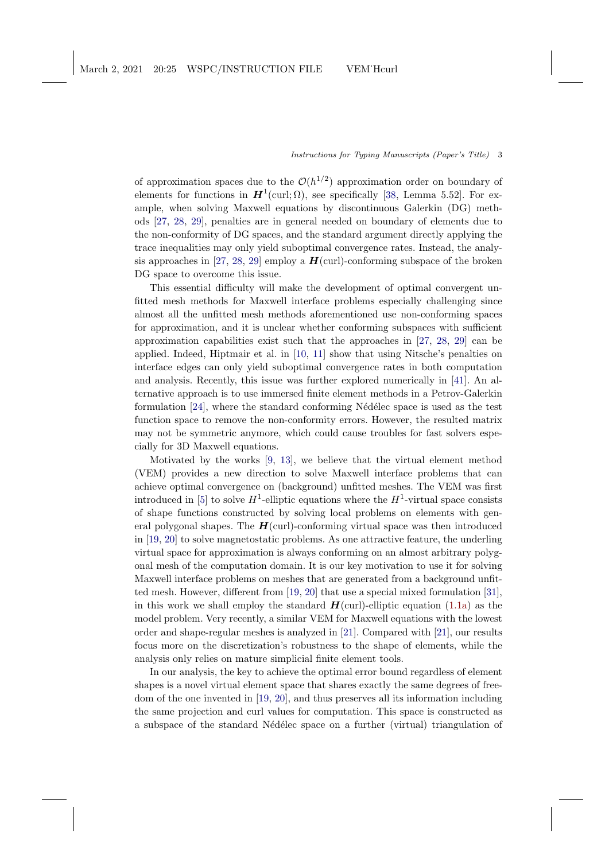<span id="page-2-0"></span>of approximation spaces due to the  $\mathcal{O}(h^{1/2})$  approximation order on boundary of elements for functions in  $H^1(\text{curl}; \Omega)$ , see specifically [\[38,](#page-27-3) Lemma 5.52]. For example, when solving Maxwell equations by discontinuous Galerkin (DG) methods [\[27,](#page-26-6) [28,](#page-26-7) [29\]](#page-26-8), penalties are in general needed on boundary of elements due to the non-conformity of DG spaces, and the standard argument directly applying the trace inequalities may only yield suboptimal convergence rates. Instead, the analy-sis approaches in [\[27,](#page-26-6) [28,](#page-26-7) [29\]](#page-26-8) employ a  $H$ (curl)-conforming subspace of the broken DG space to overcome this issue.

This essential difficulty will make the development of optimal convergent unfitted mesh methods for Maxwell interface problems especially challenging since almost all the unfitted mesh methods aforementioned use non-conforming spaces for approximation, and it is unclear whether conforming subspaces with sufficient approximation capabilities exist such that the approaches in [\[27,](#page-26-6) [28,](#page-26-7) [29\]](#page-26-8) can be applied. Indeed, Hiptmair et al. in [\[10,](#page-25-6) [11\]](#page-25-7) show that using Nitsche's penalties on interface edges can only yield suboptimal convergence rates in both computation and analysis. Recently, this issue was further explored numerically in [\[41\]](#page-27-4). An alternative approach is to use immersed finite element methods in a Petrov-Galerkin formulation  $[24]$ , where the standard conforming Nédélec space is used as the test function space to remove the non-conformity errors. However, the resulted matrix may not be symmetric anymore, which could cause troubles for fast solvers especially for 3D Maxwell equations.

Motivated by the works [\[9,](#page-25-9) [13\]](#page-25-10), we believe that the virtual element method (VEM) provides a new direction to solve Maxwell interface problems that can achieve optimal convergence on (background) unfitted meshes. The VEM was first introduced in [\[5\]](#page-25-11) to solve  $H^1$ -elliptic equations where the  $H^1$ -virtual space consists of shape functions constructed by solving local problems on elements with general polygonal shapes. The  $H$ (curl)-conforming virtual space was then introduced in [\[19,](#page-25-12) [20\]](#page-26-10) to solve magnetostatic problems. As one attractive feature, the underling virtual space for approximation is always conforming on an almost arbitrary polygonal mesh of the computation domain. It is our key motivation to use it for solving Maxwell interface problems on meshes that are generated from a background unfitted mesh. However, different from [\[19,](#page-25-12) [20\]](#page-26-10) that use a special mixed formulation [\[31\]](#page-26-11), in this work we shall employ the standard  $H$ (curl)-elliptic equation [\(1.1a\)](#page-1-3) as the model problem. Very recently, a similar VEM for Maxwell equations with the lowest order and shape-regular meshes is analyzed in [\[21\]](#page-26-12). Compared with [\[21\]](#page-26-12), our results focus more on the discretization's robustness to the shape of elements, while the analysis only relies on mature simplicial finite element tools.

In our analysis, the key to achieve the optimal error bound regardless of element shapes is a novel virtual element space that shares exactly the same degrees of freedom of the one invented in [\[19,](#page-25-12) [20\]](#page-26-10), and thus preserves all its information including the same projection and curl values for computation. This space is constructed as a subspace of the standard Nédélec space on a further (virtual) triangulation of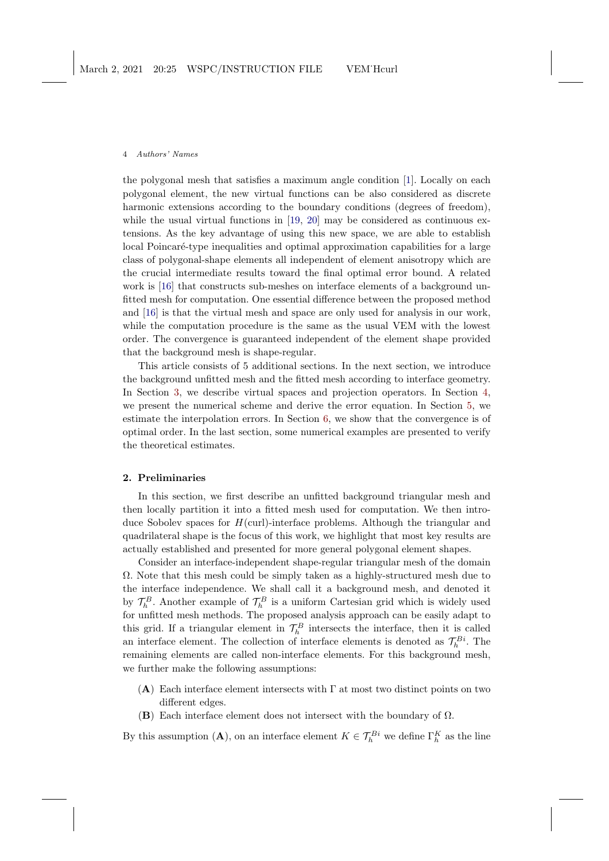<span id="page-3-0"></span>the polygonal mesh that satisfies a maximum angle condition [\[1\]](#page-24-1). Locally on each polygonal element, the new virtual functions can be also considered as discrete harmonic extensions according to the boundary conditions (degrees of freedom), while the usual virtual functions in [\[19,](#page-25-12) [20\]](#page-26-10) may be considered as continuous extensions. As the key advantage of using this new space, we are able to establish local Poincaré-type inequalities and optimal approximation capabilities for a large class of polygonal-shape elements all independent of element anisotropy which are the crucial intermediate results toward the final optimal error bound. A related work is [\[16\]](#page-25-3) that constructs sub-meshes on interface elements of a background unfitted mesh for computation. One essential difference between the proposed method and [\[16\]](#page-25-3) is that the virtual mesh and space are only used for analysis in our work, while the computation procedure is the same as the usual VEM with the lowest order. The convergence is guaranteed independent of the element shape provided that the background mesh is shape-regular.

This article consists of 5 additional sections. In the next section, we introduce the background unfitted mesh and the fitted mesh according to interface geometry. In Section [3,](#page-6-0) we describe virtual spaces and projection operators. In Section [4,](#page-11-0) we present the numerical scheme and derive the error equation. In Section [5,](#page-14-0) we estimate the interpolation errors. In Section [6,](#page-22-0) we show that the convergence is of optimal order. In the last section, some numerical examples are presented to verify the theoretical estimates.

# 2. Preliminaries

In this section, we first describe an unfitted background triangular mesh and then locally partition it into a fitted mesh used for computation. We then introduce Sobolev spaces for  $H(\text{curl})$ -interface problems. Although the triangular and quadrilateral shape is the focus of this work, we highlight that most key results are actually established and presented for more general polygonal element shapes.

Consider an interface-independent shape-regular triangular mesh of the domain  $\Omega$ . Note that this mesh could be simply taken as a highly-structured mesh due to the interface independence. We shall call it a background mesh, and denoted it by  $\mathcal{T}_h^B$ . Another example of  $\mathcal{T}_h^B$  is a uniform Cartesian grid which is widely used for unfitted mesh methods. The proposed analysis approach can be easily adapt to this grid. If a triangular element in  $\mathcal{T}_h^B$  intersects the interface, then it is called an interface element. The collection of interface elements is denoted as  $\mathcal{T}_h^{Bi}$ . The remaining elements are called non-interface elements. For this background mesh, we further make the following assumptions:

- $(A)$  Each interface element intersects with  $\Gamma$  at most two distinct points on two different edges.
- **(B)** Each interface element does not intersect with the boundary of  $\Omega$ .

By this assumption (A), on an interface element  $K \in \mathcal{T}_h^{Bi}$  we define  $\Gamma_h^K$  as the line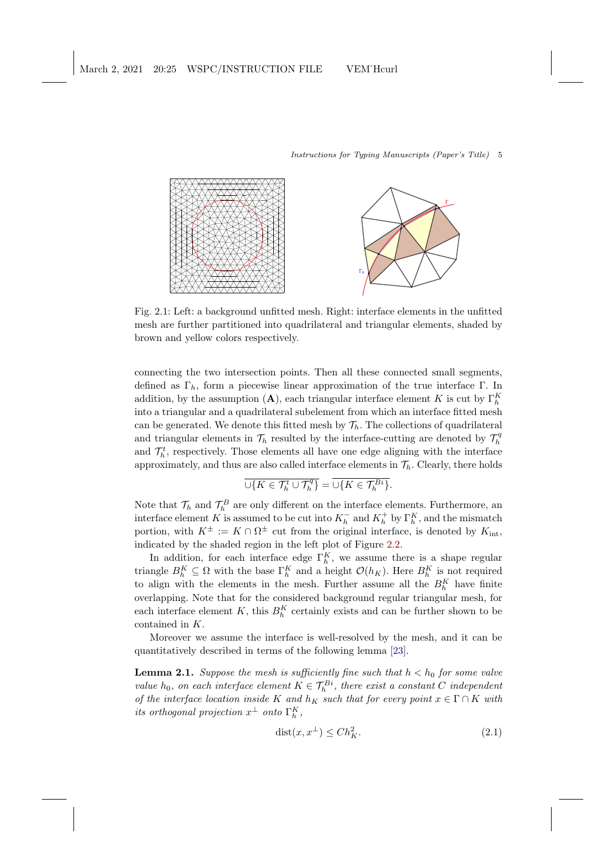<span id="page-4-2"></span><span id="page-4-0"></span>

Fig. 2.1: Left: a background unfitted mesh. Right: interface elements in the unfitted mesh are further partitioned into quadrilateral and triangular elements, shaded by brown and yellow colors respectively.

connecting the two intersection points. Then all these connected small segments, defined as  $\Gamma_h$ , form a piecewise linear approximation of the true interface Γ. In addition, by the assumption (A), each triangular interface element K is cut by  $\Gamma_h^K$ into a triangular and a quadrilateral subelement from which an interface fitted mesh can be generated. We denote this fitted mesh by  $\mathcal{T}_h$ . The collections of quadrilateral and triangular elements in  $\mathcal{T}_h$  resulted by the interface-cutting are denoted by  $\mathcal{T}_h^q$ and  $\mathcal{T}_h^t$ , respectively. Those elements all have one edge aligning with the interface approximately, and thus are also called interface elements in  $\mathcal{T}_h$ . Clearly, there holds

$$
\overline{\cup\{K\in \mathcal{T}_h^t\cup\mathcal{T}_h^q\}}=\overline{\cup\{K\in \mathcal{T}_h^{Bi}\}}.
$$

Note that  $\mathcal{T}_h$  and  $\mathcal{T}_h^B$  are only different on the interface elements. Furthermore, an interface element K is assumed to be cut into  $K_h^-$  and  $K_h^+$  by  $\Gamma_h^K$ , and the mismatch portion, with  $K^{\pm} := K \cap \Omega^{\pm}$  cut from the original interface, is denoted by  $K_{\text{int}}$ , indicated by the shaded region in the left plot of Figure [2.2.](#page-5-0)

In addition, for each interface edge  $\Gamma_h^K$ , we assume there is a shape regular triangle  $B_h^K \subseteq \Omega$  with the base  $\Gamma_h^K$  and a height  $\mathcal{O}(h_K)$ . Here  $B_h^K$  is not required to align with the elements in the mesh. Further assume all the  $B_h^K$  have finite overlapping. Note that for the considered background regular triangular mesh, for each interface element K, this  $B_h^K$  certainly exists and can be further shown to be contained in K.

Moreover we assume the interface is well-resolved by the mesh, and it can be quantitatively described in terms of the following lemma [\[23\]](#page-26-3).

**Lemma 2.1.** Suppose the mesh is sufficiently fine such that  $h < h_0$  for some valve value  $h_0$ , on each interface element  $K \in \mathcal{T}_h^{B_i}$ , there exist a constant C independent of the interface location inside K and  $h_K$  such that for every point  $x \in \Gamma \cap K$  with its orthogonal projection  $x^{\perp}$  onto  $\Gamma_h^K$ ,

<span id="page-4-1"></span>
$$
dist(x, x^{\perp}) \le Ch_K^2. \tag{2.1}
$$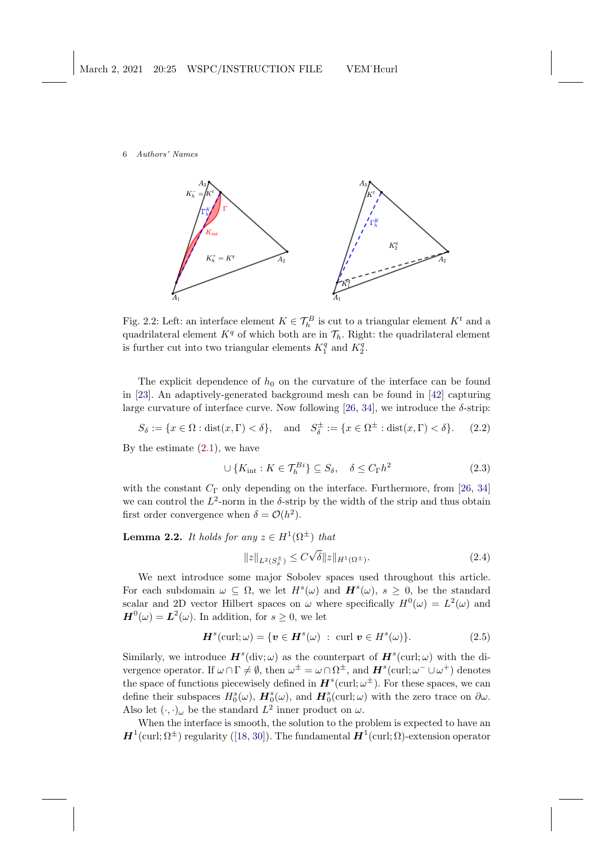<span id="page-5-3"></span><span id="page-5-0"></span>

Fig. 2.2: Left: an interface element  $K \in \mathcal{T}_h^B$  is cut to a triangular element  $K^t$  and a quadrilateral element  $K<sup>q</sup>$  of which both are in  $\mathcal{T}_h$ . Right: the quadrilateral element is further cut into two triangular elements  $K_1^q$  and  $K_2^q$ .

The explicit dependence of  $h_0$  on the curvature of the interface can be found in [\[23\]](#page-26-3). An adaptively-generated background mesh can be found in [\[42\]](#page-27-5) capturing large curvature of interface curve. Now following [\[26,](#page-26-1) [34\]](#page-26-13), we introduce the  $\delta$ -strip:

$$
S_{\delta} := \{ x \in \Omega : \text{dist}(x, \Gamma) < \delta \}, \quad \text{and} \quad S_{\delta}^{\pm} := \{ x \in \Omega^{\pm} : \text{dist}(x, \Gamma) < \delta \}. \tag{2.2}
$$

By the estimate  $(2.1)$ , we have

$$
\cup \{K_{\rm int} : K \in \mathcal{T}_h^{Bi}\} \subseteq S_\delta, \quad \delta \le C_{\Gamma} h^2 \tag{2.3}
$$

with the constant  $C_{\Gamma}$  only depending on the interface. Furthermore, from [\[26,](#page-26-1) [34\]](#page-26-13) we can control the  $L^2$ -norm in the  $\delta$ -strip by the width of the strip and thus obtain first order convergence when  $\delta = \mathcal{O}(h^2)$ .

**Lemma 2.2.** It holds for any  $z \in H^1(\Omega^{\pm})$  that

<span id="page-5-2"></span><span id="page-5-1"></span>
$$
||z||_{L^{2}(S_{\delta}^{\pm})} \leq C\sqrt{\delta}||z||_{H^{1}(\Omega^{\pm})}.
$$
\n(2.4)

We next introduce some major Sobolev spaces used throughout this article. For each subdomain  $\omega \subseteq \Omega$ , we let  $H^s(\omega)$  and  $H^s(\omega)$ ,  $s \geq 0$ , be the standard scalar and 2D vector Hilbert spaces on  $\omega$  where specifically  $H^0(\omega) = L^2(\omega)$  and  $H^{0}(\omega) = L^{2}(\omega)$ . In addition, for  $s \geq 0$ , we let

$$
\boldsymbol{H}^{s}(\text{curl};\omega) = \{\boldsymbol{v} \in \boldsymbol{H}^{s}(\omega) \; : \; \text{curl } \boldsymbol{v} \in H^{s}(\omega)\}. \tag{2.5}
$$

Similarly, we introduce  $\mathbf{H}^{s}$ (div;  $\omega$ ) as the counterpart of  $\mathbf{H}^{s}$ (curl;  $\omega$ ) with the divergence operator. If  $\omega \cap \Gamma \neq \emptyset$ , then  $\omega^{\pm} = \omega \cap \Omega^{\pm}$ , and  $\boldsymbol{H}^{s}(\text{curl}; \omega^{-} \cup \omega^{+})$  denotes the space of functions piecewisely defined in  $H^s(\text{curl}; \omega^{\pm})$ . For these spaces, we can define their subspaces  $H_0^s(\omega)$ ,  $H_0^s(\omega)$ , and  $H_0^s(\text{curl}; \omega)$  with the zero trace on  $\partial \omega$ . Also let  $(\cdot, \cdot)_{\omega}$  be the standard  $L^2$  inner product on  $\omega$ .

When the interface is smooth, the solution to the problem is expected to have an  $\bm{H}^1(\text{curl};\Omega^\pm)$ regularity ([\[18,](#page-25-13) [30\]](#page-26-14)). The fundamental  $\bm{H}^1(\text{curl};\Omega)$ -extension operator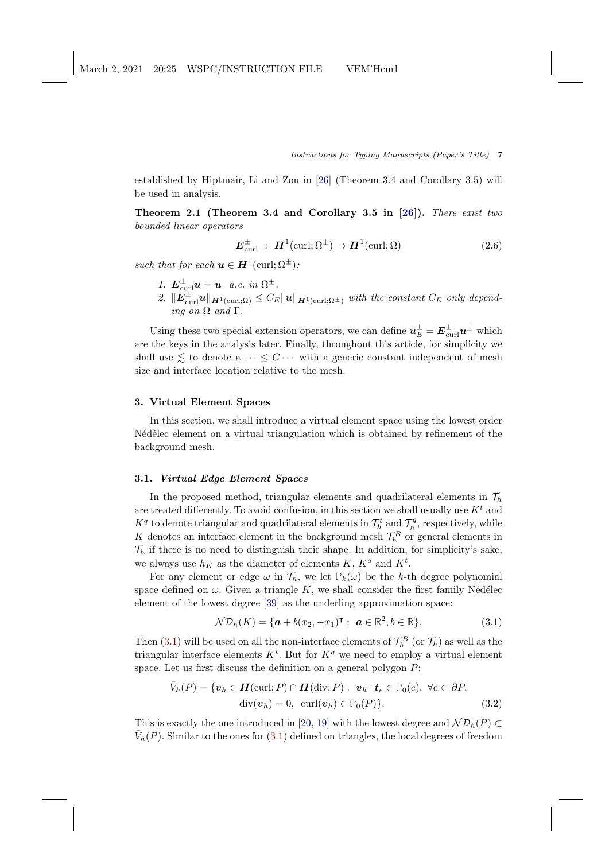<span id="page-6-4"></span>established by Hiptmair, Li and Zou in [\[26\]](#page-26-1) (Theorem 3.4 and Corollary 3.5) will be used in analysis.

Theorem 2.1 (Theorem 3.4 and Corollary 3.5 in [\[26\]](#page-26-1)). There exist two bounded linear operators

<span id="page-6-3"></span>
$$
E_{\text{curl}}^{\pm} : H^1(\text{curl}; \Omega^{\pm}) \to H^1(\text{curl}; \Omega) \tag{2.6}
$$

such that for each  $\mathbf{u} \in \mathbf{H}^1(\text{curl};\Omega^{\pm})$ :

1.  $\mathbf{E}_{\text{curl}}^{\pm} \mathbf{u} = \mathbf{u}$  a.e. in  $\Omega^{\pm}$ . 2.  $\|\mathbf{E}_{\text{curl}}^{\pm}\mathbf{u}\|_{\mathbf{H}^1(\text{curl};\Omega)} \leq C_E \|\mathbf{u}\|_{\mathbf{H}^1(\text{curl};\Omega^{\pm})}$  with the constant  $C_E$  only depending on  $\Omega$  and  $\Gamma$ 

Using these two special extension operators, we can define  $u_E^{\pm} = E_{\text{curl}}^{\pm} u^{\pm}$  which are the keys in the analysis later. Finally, throughout this article, for simplicity we shall use  $\leq$  to denote a  $\cdots \leq C \cdots$  with a generic constant independent of mesh size and interface location relative to the mesh.

# <span id="page-6-0"></span>3. Virtual Element Spaces

In this section, we shall introduce a virtual element space using the lowest order N<sup>ed'</sup>ed<sup>elec</sup> element on a virtual triangulation which is obtained by refinement of the background mesh.

## 3.1. Virtual Edge Element Spaces

In the proposed method, triangular elements and quadrilateral elements in  $\mathcal{T}_h$ are treated differently. To avoid confusion, in this section we shall usually use  $K<sup>t</sup>$  and  $K^q$  to denote triangular and quadrilateral elements in  $\mathcal{T}_h^t$  and  $\mathcal{T}_h^q$ , respectively, while K denotes an interface element in the background mesh  $\mathcal{T}_h^B$  or general elements in  $\mathcal{T}_h$  if there is no need to distinguish their shape. In addition, for simplicity's sake, we always use  $h_K$  as the diameter of elements K,  $K<sup>q</sup>$  and  $K<sup>t</sup>$ .

For any element or edge  $\omega$  in  $\mathcal{T}_h$ , we let  $\mathbb{P}_k(\omega)$  be the k-th degree polynomial space defined on  $\omega$ . Given a triangle K, we shall consider the first family Nédélec element of the lowest degree [\[39\]](#page-27-6) as the underling approximation space:

<span id="page-6-2"></span><span id="page-6-1"></span>
$$
\mathcal{ND}_h(K) = \{ \mathbf{a} + b(x_2, -x_1)^\intercal : \ \mathbf{a} \in \mathbb{R}^2, b \in \mathbb{R} \}. \tag{3.1}
$$

Then [\(3.1\)](#page-6-1) will be used on all the non-interface elements of  $\mathcal{T}_h^B$  (or  $\mathcal{T}_h$ ) as well as the triangular interface elements  $K^t$ . But for  $K^q$  we need to employ a virtual element space. Let us first discuss the definition on a general polygon  $P$ :

$$
\tilde{V}_h(P) = \{ \boldsymbol{v}_h \in \boldsymbol{H}(\text{curl}; P) \cap \boldsymbol{H}(\text{div}; P) : \boldsymbol{v}_h \cdot \boldsymbol{t}_e \in \mathbb{P}_0(e), \ \forall e \subset \partial P, \text{div}(\boldsymbol{v}_h) = 0, \ \text{curl}(\boldsymbol{v}_h) \in \mathbb{P}_0(P) \}. \tag{3.2}
$$

This is exactly the one introduced in [\[20,](#page-26-10) [19\]](#page-25-12) with the lowest degree and  $\mathcal{ND}_h(P)$  $\tilde{V}_h(P)$ . Similar to the ones for [\(3.1\)](#page-6-1) defined on triangles, the local degrees of freedom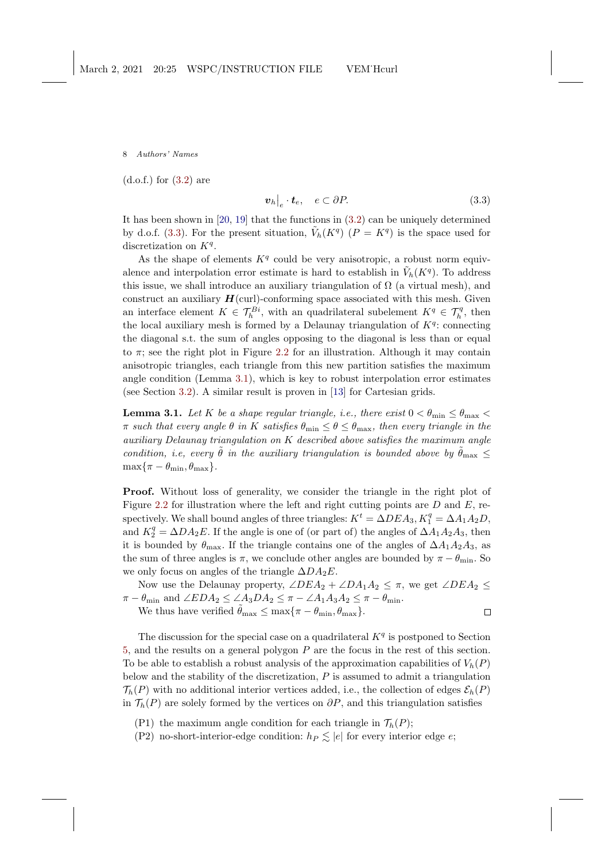<span id="page-7-2"></span>(d.o.f.) for [\(3.2\)](#page-6-2) are

<span id="page-7-0"></span>
$$
\left. \boldsymbol{v}_h \right|_e \cdot \boldsymbol{t}_e, \quad e \subset \partial P. \tag{3.3}
$$

It has been shown in  $[20, 19]$  $[20, 19]$  that the functions in  $(3.2)$  can be uniquely determined by d.o.f. [\(3.3\)](#page-7-0). For the present situation,  $\tilde{V}_h(K^q)$   $(P = K^q)$  is the space used for discretization on  $K<sup>q</sup>$ .

As the shape of elements  $K<sup>q</sup>$  could be very anisotropic, a robust norm equivalence and interpolation error estimate is hard to establish in  $\tilde{V}_h(K^q)$ . To address this issue, we shall introduce an auxiliary triangulation of  $\Omega$  (a virtual mesh), and construct an auxiliary  $H$ (curl)-conforming space associated with this mesh. Given an interface element  $K \in \mathcal{T}_h^{Bi}$ , with an quadrilateral subelement  $K^q \in \mathcal{T}_h^q$ , then the local auxiliary mesh is formed by a Delaunay triangulation of  $K<sup>q</sup>$ : connecting the diagonal s.t. the sum of angles opposing to the diagonal is less than or equal to  $\pi$ ; see the right plot in Figure [2.2](#page-5-0) for an illustration. Although it may contain anisotropic triangles, each triangle from this new partition satisfies the maximum angle condition (Lemma [3.1\)](#page-7-1), which is key to robust interpolation error estimates (see Section [3.2\)](#page-9-0). A similar result is proven in [\[13\]](#page-25-10) for Cartesian grids.

<span id="page-7-1"></span>**Lemma 3.1.** Let K be a shape regular triangle, i.e., there exist  $0 < \theta_{\min} \leq \theta_{\max}$  $\pi$  such that every angle  $\theta$  in K satisfies  $\theta_{\min} \leq \theta \leq \theta_{\max}$ , then every triangle in the auxiliary Delaunay triangulation on K described above satisfies the maximum angle condition, i.e, every  $\tilde{\theta}$  in the auxiliary triangulation is bounded above by  $\tilde{\theta}_{\text{max}} \leq$  $\max\{\pi - \theta_{\min}, \theta_{\max}\}.$ 

Proof. Without loss of generality, we consider the triangle in the right plot of Figure [2.2](#page-5-0) for illustration where the left and right cutting points are  $D$  and  $E$ , respectively. We shall bound angles of three triangles:  $K^t = \Delta DEA_3$ ,  $K_1^q = \Delta A_1A_2D$ , and  $K_2^q = \Delta D A_2 E$ . If the angle is one of (or part of) the angles of  $\Delta A_1 A_2 A_3$ , then it is bounded by  $\theta_{\text{max}}$ . If the triangle contains one of the angles of  $\Delta A_1 A_2 A_3$ , as the sum of three angles is  $\pi$ , we conclude other angles are bounded by  $\pi - \theta_{\min}$ . So we only focus on angles of the triangle  $\Delta DA_2E$ .

Now use the Delaunay property,  $\angle DEA_2 + \angle DA_1A_2 \leq \pi$ , we get  $\angle DEA_2 \leq$  $\pi - \theta_{\min}$  and  $\angle EDA_2 \leq \angle A_3DA_2 \leq \pi - \angle A_1A_3A_2 \leq \pi - \theta_{\min}$ .

We thus have verified  $\tilde{\theta}_{\text{max}} \leq \max\{\pi - \theta_{\text{min}}, \theta_{\text{max}}\}.$  $\Box$ 

The discussion for the special case on a quadrilateral  $K<sup>q</sup>$  is postponed to Section [5,](#page-14-0) and the results on a general polygon P are the focus in the rest of this section. To be able to establish a robust analysis of the approximation capabilities of  $V_h(P)$ below and the stability of the discretization,  $P$  is assumed to admit a triangulation  $\mathcal{T}_h(P)$  with no additional interior vertices added, i.e., the collection of edges  $\mathcal{E}_h(P)$ in  $\mathcal{T}_h(P)$  are solely formed by the vertices on  $\partial P$ , and this triangulation satisfies

(P1) the maximum angle condition for each triangle in  $\mathcal{T}_h(P)$ ;

(P2) no-short-interior-edge condition:  $h_P \leq |e|$  for every interior edge e;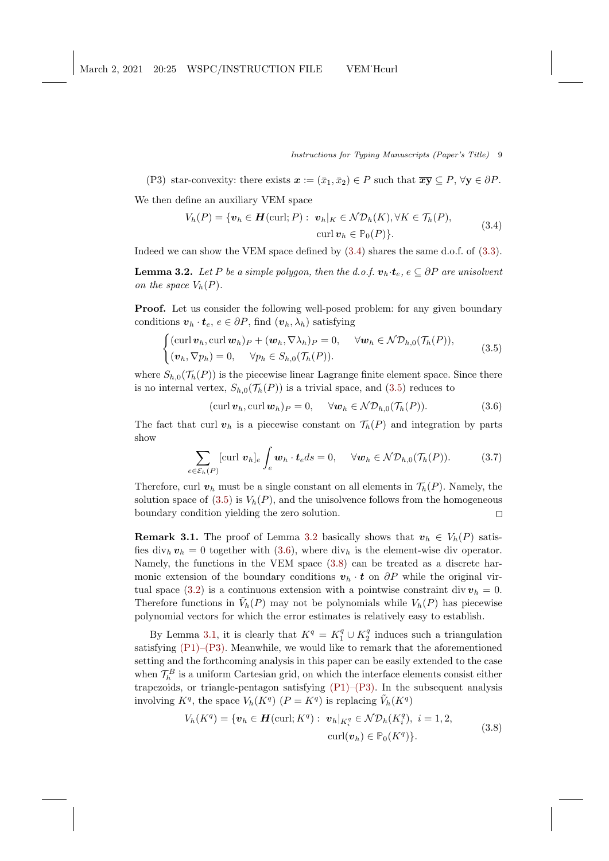(P3) star-convexity: there exists  $\mathbf{x} := (\bar{x}_1, \bar{x}_2) \in P$  such that  $\overline{\mathbf{x}\mathbf{y}} \subseteq P$ ,  $\forall \mathbf{y} \in \partial P$ . We then define an auxiliary VEM space

<span id="page-8-2"></span><span id="page-8-0"></span>
$$
V_h(P) = \{ \boldsymbol{v}_h \in \boldsymbol{H}(\text{curl}; P) : \boldsymbol{v}_h|_K \in \mathcal{ND}_h(K), \forall K \in \mathcal{T}_h(P),
$$
  
 
$$
\text{curl} \boldsymbol{v}_h \in \mathbb{P}_0(P) \}. \tag{3.4}
$$

Indeed we can show the VEM space defined by [\(3.4\)](#page-8-0) shares the same d.o.f. of [\(3.3\)](#page-7-0).

**Lemma 3.2.** Let P be a simple polygon, then the d.o.f.  $\mathbf{v}_h \cdot \mathbf{t}_e$ ,  $e \subseteq \partial P$  are unisolvent on the space  $V_h(P)$ .

Proof. Let us consider the following well-posed problem: for any given boundary conditions  $\mathbf{v}_h \cdot \mathbf{t}_e, e \in \partial P$ , find  $(\mathbf{v}_h, \lambda_h)$  satisfying

<span id="page-8-1"></span>
$$
\begin{cases}\n(\operatorname{curl} \boldsymbol{v}_h, \operatorname{curl} \boldsymbol{w}_h)_P + (\boldsymbol{w}_h, \nabla \lambda_h)_P = 0, & \forall \boldsymbol{w}_h \in \mathcal{ND}_{h,0}(\mathcal{T}_h(P)), \\
(\boldsymbol{v}_h, \nabla p_h) = 0, & \forall p_h \in S_{h,0}(\mathcal{T}_h(P)).\n\end{cases} (3.5)
$$

where  $S_{h,0}(\mathcal{T}_h(P))$  is the piecewise linear Lagrange finite element space. Since there is no internal vertex,  $S_{h,0}(\mathcal{T}_h(P))$  is a trivial space, and [\(3.5\)](#page-8-1) reduces to

<span id="page-8-3"></span>
$$
(\operatorname{curl} \boldsymbol{v}_h, \operatorname{curl} \boldsymbol{w}_h)_P = 0, \quad \forall \boldsymbol{w}_h \in \mathcal{ND}_{h,0}(\mathcal{T}_h(P)). \tag{3.6}
$$

The fact that curl  $v_h$  is a piecewise constant on  $\mathcal{T}_h(P)$  and integration by parts show

$$
\sum_{e \in \mathcal{E}_h(P)} \text{[curl } \boldsymbol{v}_h]_e \int_e \boldsymbol{w}_h \cdot \boldsymbol{t}_e ds = 0, \quad \forall \boldsymbol{w}_h \in \mathcal{ND}_{h,0}(\mathcal{T}_h(P)). \tag{3.7}
$$

Therefore, curl  $v_h$  must be a single constant on all elements in  $\mathcal{T}_h(P)$ . Namely, the solution space of [\(3.5\)](#page-8-1) is  $V_h(P)$ , and the unisolvence follows from the homogeneous boundary condition yielding the zero solution.  $\Box$ 

**Remark 3.1.** The proof of Lemma [3.2](#page-8-2) basically shows that  $v_h \in V_h(P)$  satisfies div<sub>h</sub>  $v_h = 0$  together with [\(3.6\)](#page-8-3), where div<sub>h</sub> is the element-wise div operator. Namely, the functions in the VEM space [\(3.8\)](#page-8-4) can be treated as a discrete harmonic extension of the boundary conditions  $v_h \cdot t$  on  $\partial P$  while the original vir-tual space [\(3.2\)](#page-6-2) is a continuous extension with a pointwise constraint div  $v<sub>h</sub> = 0$ . Therefore functions in  $\tilde{V}_h(P)$  may not be polynomials while  $V_h(P)$  has piecewise polynomial vectors for which the error estimates is relatively easy to establish.

By Lemma [3.1,](#page-7-1) it is clearly that  $K^q = K_1^q \cup K_2^q$  induces such a triangulation satisfying  $(P1)$ – $(P3)$ . Meanwhile, we would like to remark that the aforementioned setting and the forthcoming analysis in this paper can be easily extended to the case when  $\mathcal{T}_h^B$  is a uniform Cartesian grid, on which the interface elements consist either trapezoids, or triangle-pentagon satisfying [\(P1\)–\(P3\).](#page-7-1) In the subsequent analysis involving  $K^q$ , the space  $V_h(K^q)$   $(P = K^q)$  is replacing  $\tilde{V}_h(K^q)$ 

<span id="page-8-4"></span>
$$
V_h(K^q) = \{ \boldsymbol{v}_h \in \boldsymbol{H}(\text{curl}; K^q) : \boldsymbol{v}_h|_{K_i^q} \in \mathcal{ND}_h(K_i^q), \ i = 1, 2,
$$
  
\n
$$
\text{curl}(\boldsymbol{v}_h) \in \mathbb{P}_0(K^q) \}.
$$
\n(3.8)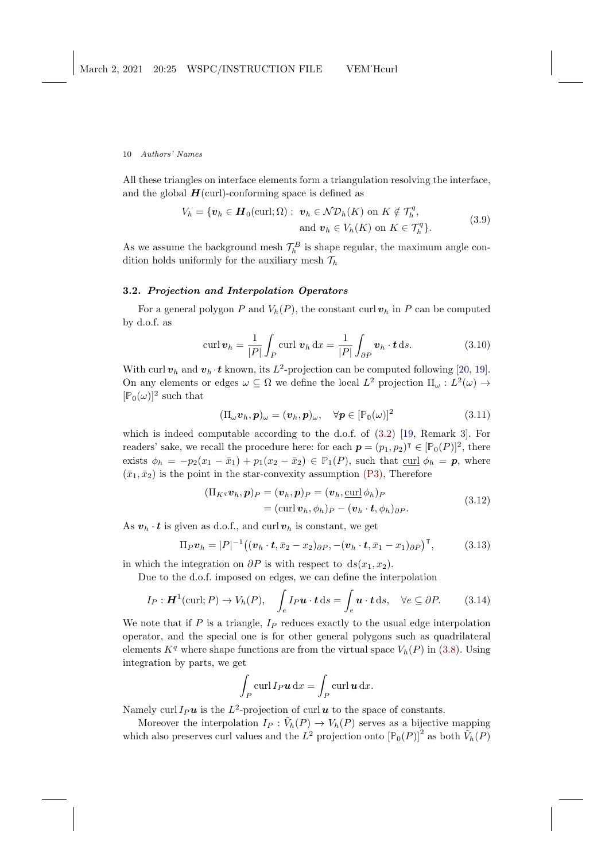<span id="page-9-5"></span>All these triangles on interface elements form a triangulation resolving the interface, and the global  $H$ (curl)-conforming space is defined as

$$
V_h = \{ \boldsymbol{v}_h \in \boldsymbol{H}_0(\text{curl}; \Omega) : \boldsymbol{v}_h \in \mathcal{ND}_h(K) \text{ on } K \notin \mathcal{T}_h^q, \\ \text{and } \boldsymbol{v}_h \in V_h(K) \text{ on } K \in \mathcal{T}_h^q \}. \tag{3.9}
$$

<span id="page-9-1"></span>As we assume the background mesh  $\mathcal{T}_h^B$  is shape regular, the maximum angle condition holds uniformly for the auxiliary mesh  $\mathcal{T}_h$ 

# <span id="page-9-0"></span>3.2. Projection and Interpolation Operators

For a general polygon P and  $V_h(P)$ , the constant curl  $v_h$  in P can be computed by d.o.f. as

$$
\operatorname{curl} \boldsymbol{v}_h = \frac{1}{|P|} \int_P \operatorname{curl} \boldsymbol{v}_h \, \mathrm{d}x = \frac{1}{|P|} \int_{\partial P} \boldsymbol{v}_h \cdot \boldsymbol{t} \, \mathrm{d}s. \tag{3.10}
$$

With curl  $v_h$  and  $v_h \cdot t$  known, its  $L^2$ -projection can be computed following [\[20,](#page-26-10) [19\]](#page-25-12). On any elements or edges  $\omega \subseteq \Omega$  we define the local  $L^2$  projection  $\Pi_{\omega}: L^2(\omega) \to$  $[\mathbb{P}_0(\omega)]^2$  such that

<span id="page-9-2"></span>
$$
(\Pi_{\omega}\boldsymbol{v}_h,\boldsymbol{p})_{\omega}=(\boldsymbol{v}_h,\boldsymbol{p})_{\omega},\quad\forall\boldsymbol{p}\in[\mathbb{P}_{0}(\omega)]^2
$$
\n(3.11)

which is indeed computable according to the d.o.f. of [\(3.2\)](#page-6-2) [\[19,](#page-25-12) Remark 3]. For readers' sake, we recall the procedure here: for each  $p = (p_1, p_2)$ <sup> $\mathsf{T} \in [\mathbb{P}_0(P)]^2$ , there</sup> exists  $\phi_h = -p_2(x_1 - \bar{x}_1) + p_1(x_2 - \bar{x}_2) \in \mathbb{P}_1(P)$ , such that curl  $\phi_h = \mathbf{p}$ , where  $(\bar{x}_1, \bar{x}_2)$  is the point in the star-convexity assumption [\(P3\),](#page-7-1) Therefore

$$
(\Pi_{K^q} \boldsymbol{v}_h, \boldsymbol{p})_P = (\boldsymbol{v}_h, \boldsymbol{p})_P = (\boldsymbol{v}_h, \underline{\text{curl}} \, \phi_h)_P
$$
  
= 
$$
(\underline{\text{curl}} \, \boldsymbol{v}_h, \phi_h)_P - (\boldsymbol{v}_h \cdot \boldsymbol{t}, \phi_h)_{\partial P}.
$$
 (3.12)

<span id="page-9-4"></span>As  $v_h \cdot t$  is given as d.o.f., and curl  $v_h$  is constant, we get

$$
\Pi_P \boldsymbol{v}_h = |P|^{-1} \big( (\boldsymbol{v}_h \cdot \boldsymbol{t}, \bar{x}_2 - x_2)_{\partial P}, -(\boldsymbol{v}_h \cdot \boldsymbol{t}, \bar{x}_1 - x_1)_{\partial P} \big)^\mathsf{T},\tag{3.13}
$$

in which the integration on  $\partial P$  is with respect to  $ds(x_1, x_2)$ .

Due to the d.o.f. imposed on edges, we can define the interpolation

<span id="page-9-3"></span>
$$
I_P: \mathbf{H}^1(\text{curl}; P) \to V_h(P), \quad \int_e I_P \mathbf{u} \cdot \mathbf{t} \, \mathrm{d}s = \int_e \mathbf{u} \cdot \mathbf{t} \, \mathrm{d}s, \quad \forall e \subseteq \partial P. \tag{3.14}
$$

We note that if  $P$  is a triangle,  $I_P$  reduces exactly to the usual edge interpolation operator, and the special one is for other general polygons such as quadrilateral elements  $K<sup>q</sup>$  where shape functions are from the virtual space  $V<sub>h</sub>(P)$  in [\(3.8\)](#page-8-4). Using integration by parts, we get

$$
\int_P \operatorname{curl} I_P \mathbf{u} \, \mathrm{d}x = \int_P \operatorname{curl} \mathbf{u} \, \mathrm{d}x.
$$

Namely curl  $I_P u$  is the  $L^2$ -projection of curl u to the space of constants.

Moreover the interpolation  $I_P : \tilde{V}_h(P) \to V_h(P)$  serves as a bijective mapping which also preserves curl values and the  $L^2$  projection onto  $\left[\mathbb{P}_0(P)\right]^2$  as both  $\tilde{V}_h(P)$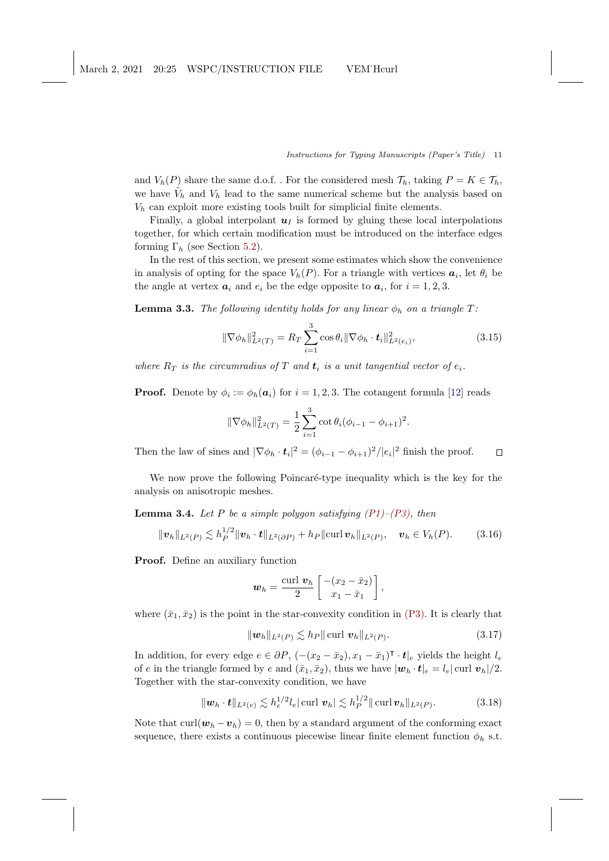<span id="page-10-5"></span>and  $V_h(P)$  share the same d.o.f. . For the considered mesh  $\mathcal{T}_h$ , taking  $P = K \in \mathcal{T}_h$ , we have  $\tilde{V}_h$  and  $V_h$  lead to the same numerical scheme but the analysis based on  $V<sub>h</sub>$  can exploit more existing tools built for simplicial finite elements.

Finally, a global interpolant  $u_I$  is formed by gluing these local interpolations together, for which certain modification must be introduced on the interface edges forming  $\Gamma_h$  (see Section [5.2\)](#page-16-0).

In the rest of this section, we present some estimates which show the convenience in analysis of opting for the space  $V_h(P)$ . For a triangle with vertices  $a_i$ , let  $\theta_i$  be the angle at vertex  $a_i$  and  $e_i$  be the edge opposite to  $a_i$ , for  $i = 1, 2, 3$ .

<span id="page-10-0"></span>**Lemma 3.3.** The following identity holds for any linear  $\phi_h$  on a triangle T:

$$
\|\nabla \phi_h\|_{L^2(T)}^2 = R_T \sum_{i=1}^3 \cos \theta_i \|\nabla \phi_h \cdot \mathbf{t}_i\|_{L^2(e_i)}^2,
$$
\n(3.15)

where  $R_T$  is the circumradius of T and  $t_i$  is a unit tangential vector of  $e_i$ .

**Proof.** Denote by  $\phi_i := \phi_h(a_i)$  for  $i = 1, 2, 3$ . The cotangent formula [\[12\]](#page-25-14) reads

<span id="page-10-4"></span>
$$
\|\nabla \phi_h\|_{L^2(T)}^2 = \frac{1}{2} \sum_{i=1}^3 \cot \theta_i (\phi_{i-1} - \phi_{i+1})^2.
$$

Then the law of sines and  $|\nabla \phi_h \cdot \mathbf{t}_i|^2 = (\phi_{i-1} - \phi_{i+1})^2/|e_i|^2$  finish the proof.  $\Box$ 

We now prove the following Poincaré-type inequality which is the key for the analysis on anisotropic meshes.

**Lemma 3.4.** Let P be a simple polygon satisfying  $(PI)$ – $(P3)$ , then

<span id="page-10-1"></span>
$$
\|\boldsymbol{v}_h\|_{L^2(P)} \lesssim h_P^{1/2} \|\boldsymbol{v}_h \cdot \boldsymbol{t}\|_{L^2(\partial P)} + h_P \|\text{curl}\,\boldsymbol{v}_h\|_{L^2(P)}, \quad \boldsymbol{v}_h \in V_h(P). \tag{3.16}
$$

Proof. Define an auxiliary function

<span id="page-10-2"></span>
$$
\boldsymbol{w}_h = \frac{\text{curl } \boldsymbol{v}_h}{2} \begin{bmatrix} -(x_2 - \bar{x}_2) \\ x_1 - \bar{x}_1 \end{bmatrix},
$$

where  $(\bar{x}_1, \bar{x}_2)$  is the point in the star-convexity condition in [\(P3\).](#page-7-1) It is clearly that

<span id="page-10-3"></span>
$$
\|\mathbf{w}_{h}\|_{L^{2}(P)} \lesssim h_{P} \|\,\mathrm{curl}\,\,\mathbf{v}_{h}\|_{L^{2}(P)}.\tag{3.17}
$$

In addition, for every edge  $e \in \partial P$ ,  $(-(x_2 - \bar{x}_2), x_1 - \bar{x}_1)^\intercal \cdot t|_e$  yields the height  $l_e$ of e in the triangle formed by e and  $(\bar{x}_1, \bar{x}_2)$ , thus we have  $|\mathbf{w}_h \cdot \mathbf{t}|_e = l_e |\text{curl } \mathbf{v}_h|/2$ . Together with the star-convexity condition, we have

$$
\|\bm{w}_h \cdot \bm{t}\|_{L^2(e)} \lesssim h_e^{1/2} l_e |\text{curl } \bm{v}_h| \lesssim h_P^{1/2} \|\text{curl } \bm{v}_h\|_{L^2(P)}.
$$
 (3.18)

Note that curl $(\boldsymbol{w}_h - \boldsymbol{v}_h) = 0$ , then by a standard argument of the conforming exact sequence, there exists a continuous piecewise linear finite element function  $\phi_h$  s.t.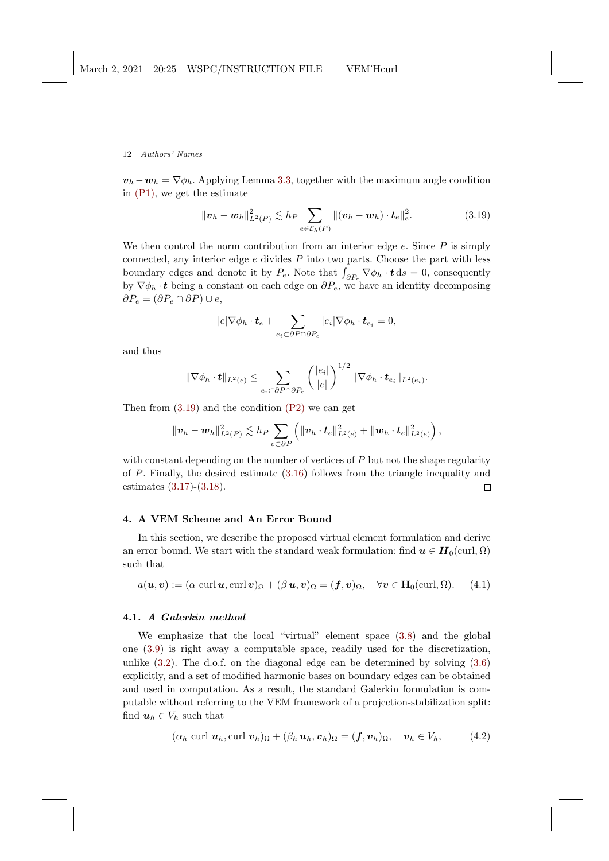$v_h - w_h = \nabla \phi_h$ . Applying Lemma [3.3,](#page-10-0) together with the maximum angle condition in [\(P1\),](#page-7-1) we get the estimate

<span id="page-11-1"></span>
$$
\|\boldsymbol{v}_h - \boldsymbol{w}_h\|_{L^2(P)}^2 \lesssim h_P \sum_{e \in \mathcal{E}_h(P)} \|(\boldsymbol{v}_h - \boldsymbol{w}_h) \cdot \boldsymbol{t}_e\|_e^2.
$$
 (3.19)

We then control the norm contribution from an interior edge  $e$ . Since  $P$  is simply connected, any interior edge  $e$  divides  $P$  into two parts. Choose the part with less boundary edges and denote it by  $P_e$ . Note that  $\int_{\partial P_e} \nabla \phi_h \cdot \mathbf{t} ds = 0$ , consequently by  $\nabla \phi_h \cdot t$  being a constant on each edge on  $\partial P_e$ , we have an identity decomposing  $\partial P_e = (\partial P_e \cap \partial P) \cup e$ ,

$$
|e|\nabla \phi_h \cdot \boldsymbol{t}_e + \sum_{e_i \subset \partial P \cap \partial P_e} |e_i| \nabla \phi_h \cdot \boldsymbol{t}_{e_i} = 0,
$$

and thus

$$
\|\nabla \phi_h \cdot \boldsymbol{t}\|_{L^2(e)} \leq \sum_{e_i \subset \partial P \cap \partial P_e} \left(\frac{|e_i|}{|e|}\right)^{1/2} \|\nabla \phi_h \cdot \boldsymbol{t}_{e_i}\|_{L^2(e_i)}.
$$

Then from  $(3.19)$  and the condition  $(P2)$  we can get

$$
\|\bm{v}_h - \bm{w}_h\|_{L^2(P)}^2 \lesssim h_P \sum_{e \subset \partial P} \left( \|\bm{v}_h \cdot \bm{t}_e\|_{L^2(e)}^2 + \|\bm{w}_h \cdot \bm{t}_e\|_{L^2(e)}^2 \right),
$$

with constant depending on the number of vertices of  $P$  but not the shape regularity of P. Finally, the desired estimate [\(3.16\)](#page-10-1) follows from the triangle inequality and estimates [\(3.17\)](#page-10-2)-[\(3.18\)](#page-10-3).  $\Box$ 

# <span id="page-11-0"></span>4. A VEM Scheme and An Error Bound

In this section, we describe the proposed virtual element formulation and derive an error bound. We start with the standard weak formulation: find  $u \in H_0(\text{curl}, \Omega)$ such that

<span id="page-11-2"></span>
$$
a(\mathbf{u}, \mathbf{v}) := (\alpha \operatorname{curl} \mathbf{u}, \operatorname{curl} \mathbf{v})_{\Omega} + (\beta \mathbf{u}, \mathbf{v})_{\Omega} = (\mathbf{f}, \mathbf{v})_{\Omega}, \quad \forall \mathbf{v} \in \mathbf{H}_0(\operatorname{curl}, \Omega). \tag{4.1}
$$

## 4.1. A Galerkin method

We emphasize that the local "virtual" element space [\(3.8\)](#page-8-4) and the global one [\(3.9\)](#page-9-1) is right away a computable space, readily used for the discretization, unlike  $(3.2)$ . The d.o.f. on the diagonal edge can be determined by solving  $(3.6)$ explicitly, and a set of modified harmonic bases on boundary edges can be obtained and used in computation. As a result, the standard Galerkin formulation is computable without referring to the VEM framework of a projection-stabilization split: find  $u_h \in V_h$  such that

$$
(\alpha_h \text{ curl } \boldsymbol{u}_h, \text{curl } \boldsymbol{v}_h)_{\Omega} + (\beta_h \boldsymbol{u}_h, \boldsymbol{v}_h)_{\Omega} = (\boldsymbol{f}, \boldsymbol{v}_h)_{\Omega}, \quad \boldsymbol{v}_h \in V_h, \tag{4.2}
$$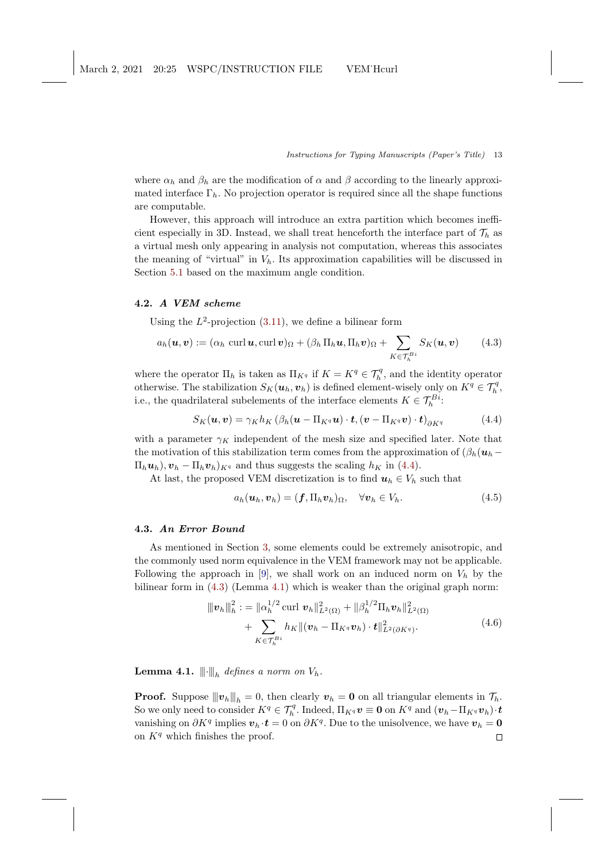<span id="page-12-4"></span>where  $\alpha_h$  and  $\beta_h$  are the modification of  $\alpha$  and  $\beta$  according to the linearly approximated interface  $\Gamma_h$ . No projection operator is required since all the shape functions are computable.

However, this approach will introduce an extra partition which becomes inefficient especially in 3D. Instead, we shall treat henceforth the interface part of  $\mathcal{T}_h$  as a virtual mesh only appearing in analysis not computation, whereas this associates the meaning of "virtual" in  $V<sub>h</sub>$ . Its approximation capabilities will be discussed in Section [5.1](#page-15-0) based on the maximum angle condition.

## 4.2. A VEM scheme

Using the  $L^2$ -projection [\(3.11\)](#page-9-2), we define a bilinear form

<span id="page-12-1"></span>
$$
a_h(\boldsymbol{u}, \boldsymbol{v}) := (\alpha_h \operatorname{curl} \boldsymbol{u}, \operatorname{curl} \boldsymbol{v})_{\Omega} + (\beta_h \Pi_h \boldsymbol{u}, \Pi_h \boldsymbol{v})_{\Omega} + \sum_{K \in \mathcal{T}_h^{Bi}} S_K(\boldsymbol{u}, \boldsymbol{v}) \qquad (4.3)
$$

where the operator  $\Pi_h$  is taken as  $\Pi_{K^q}$  if  $K = K^q \in \mathcal{T}_h^q$ , and the identity operator otherwise. The stabilization  $S_K(\boldsymbol{u}_h, \boldsymbol{v}_h)$  is defined element-wisely only on  $K^q \in \mathcal{T}_h^q$ , i.e., the quadrilateral subelements of the interface elements  $K \in \mathcal{T}_h^{B_i}$ :

<span id="page-12-0"></span>
$$
S_K(\boldsymbol{u}, \boldsymbol{v}) = \gamma_K h_K \left( \beta_h(\boldsymbol{u} - \Pi_{K^q} \boldsymbol{u}) \cdot \boldsymbol{t}, (\boldsymbol{v} - \Pi_{K^q} \boldsymbol{v}) \cdot \boldsymbol{t} \right)_{\partial K^q}
$$
(4.4)

with a parameter  $\gamma_K$  independent of the mesh size and specified later. Note that the motivation of this stabilization term comes from the approximation of  $(\beta_h(u_h \Pi_h \mathbf{u}_h$ ,  $\mathbf{v}_h - \Pi_h \mathbf{v}_h$ <sub>Kq</sub> and thus suggests the scaling  $h_K$  in [\(4.4\)](#page-12-0).

At last, the proposed VEM discretization is to find  $u_h \in V_h$  such that

<span id="page-12-3"></span>
$$
a_h(\boldsymbol{u}_h, \boldsymbol{v}_h) = (\boldsymbol{f}, \Pi_h \boldsymbol{v}_h)_{\Omega}, \quad \forall \boldsymbol{v}_h \in V_h.
$$
\n
$$
(4.5)
$$

# 4.3. An Error Bound

As mentioned in Section [3,](#page-6-0) some elements could be extremely anisotropic, and the commonly used norm equivalence in the VEM framework may not be applicable. Following the approach in [\[9\]](#page-25-9), we shall work on an induced norm on  $V_h$  by the bilinear form in  $(4.3)$  (Lemma [4.1\)](#page-12-2) which is weaker than the original graph norm:

$$
\|\boldsymbol{v}_{h}\|_{h}^{2} := \|\alpha_{h}^{1/2} \operatorname{curl} \boldsymbol{v}_{h}\|_{L^{2}(\Omega)}^{2} + \|\beta_{h}^{1/2} \Pi_{h} \boldsymbol{v}_{h}\|_{L^{2}(\Omega)}^{2} + \sum_{K \in \mathcal{T}_{h}^{Bi}} h_{K} \|(\boldsymbol{v}_{h} - \Pi_{K^{q}} \boldsymbol{v}_{h}) \cdot \boldsymbol{t}\|_{L^{2}(\partial K^{q})}^{2}.
$$
\n(4.6)

<span id="page-12-2"></span>**Lemma 4.1.**  $\|\hspace{-1.5mm}\|$   $\|_h$  defines a norm on  $V_h$ .

**Proof.** Suppose  $||\mathbf{v}_h||_h = 0$ , then clearly  $\mathbf{v}_h = \mathbf{0}$  on all triangular elements in  $\mathcal{T}_h$ . So we only need to consider  $K^q \in \mathcal{T}_h^q$ . Indeed,  $\Pi_{K^q} \nu \equiv \mathbf{0}$  on  $K^q$  and  $(\boldsymbol{v}_h - \Pi_{K^q} \boldsymbol{v}_h) \cdot \boldsymbol{t}$ vanishing on  $\partial K^q$  implies  $\mathbf{v}_h \cdot \mathbf{t} = 0$  on  $\partial K^q$ . Due to the unisolvence, we have  $\mathbf{v}_h = \mathbf{0}$ on  $K<sup>q</sup>$  which finishes the proof.  $\Box$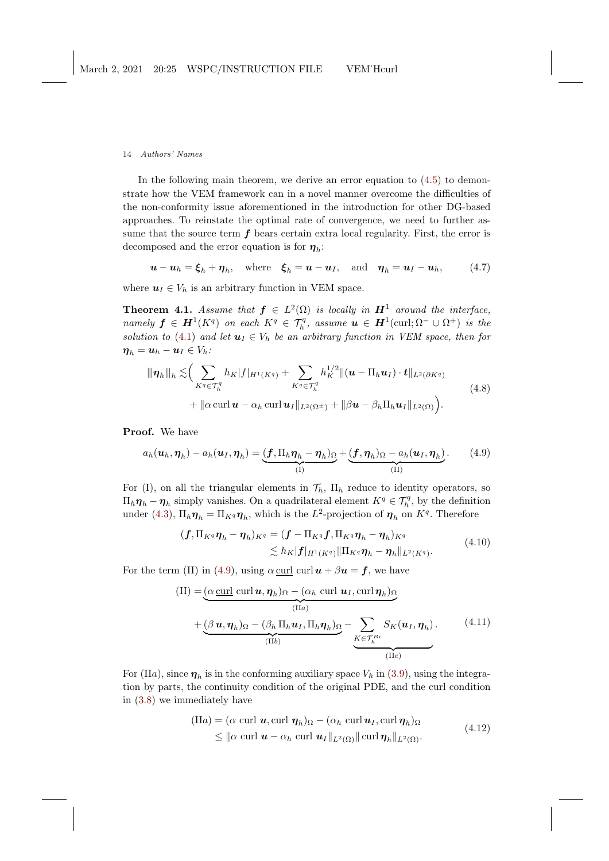In the following main theorem, we derive an error equation to  $(4.5)$  to demonstrate how the VEM framework can in a novel manner overcome the difficulties of the non-conformity issue aforementioned in the introduction for other DG-based approaches. To reinstate the optimal rate of convergence, we need to further assume that the source term  $f$  bears certain extra local regularity. First, the error is decomposed and the error equation is for  $\eta_h$ :

<span id="page-13-2"></span> $\mathbf{u} - \mathbf{u}_h = \boldsymbol{\xi}_h + \boldsymbol{\eta}_h$ , where  $\boldsymbol{\xi}_h = \mathbf{u} - \mathbf{u}_I$ , and  $\boldsymbol{\eta}_h = \mathbf{u}_I - \mathbf{u}_h$ , (4.7)

where  $u_I \in V_h$  is an arbitrary function in VEM space.

**Theorem 4.1.** Assume that  $f \in L^2(\Omega)$  is locally in  $H^1$  around the interface, namely  $\bm{f} \in \bm{H}^1(K^q)$  on each  $K^q \in \mathcal{T}_h^q$ , assume  $\bm{u} \in \bm{H}^1(\text{curl};\Omega^- \cup \Omega^+)$  is the solution to [\(4.1\)](#page-11-2) and let  $u_I \in V_h$  be an arbitrary function in VEM space, then for  $\boldsymbol{\eta}_h = \boldsymbol{u}_h - \boldsymbol{u}_I \in V_h$ :

$$
\|\eta_h\|_{h} \lesssim \Big( \sum_{K^q \in \mathcal{T}_h^q} h_K |f|_{H^1(K^q)} + \sum_{K^q \in \mathcal{T}_h^q} h_K^{1/2} \| (\boldsymbol{u} - \Pi_h \boldsymbol{u}_I) \cdot \boldsymbol{t} \|_{L^2(\partial K^q)} + \|\alpha \operatorname{curl} \boldsymbol{u} - \alpha_h \operatorname{curl} \boldsymbol{u}_I \|_{L^2(\Omega^{\pm})} + \|\beta \boldsymbol{u} - \beta_h \Pi_h \boldsymbol{u}_I \|_{L^2(\Omega)} \Big).
$$
\n(4.8)

Proof. We have

<span id="page-13-0"></span>
$$
a_h(\boldsymbol{u}_h, \boldsymbol{\eta}_h) - a_h(\boldsymbol{u}_I, \boldsymbol{\eta}_h) = \underbrace{(f, \Pi_h \boldsymbol{\eta}_h - \boldsymbol{\eta}_h)_{\Omega}}_{(I)} + \underbrace{(f, \boldsymbol{\eta}_h)_{\Omega} - a_h(\boldsymbol{u}_I, \boldsymbol{\eta}_h)}_{(II)}.
$$
 (4.9)

For (I), on all the triangular elements in  $\mathcal{T}_h$ ,  $\Pi_h$  reduce to identity operators, so  $\Pi_h \eta_h - \eta_h$  simply vanishes. On a quadrilateral element  $K^q \in \mathcal{T}_h^q$ , by the definition under [\(4.3\)](#page-12-1),  $\Pi_h \eta_h = \Pi_{K^q} \eta_h$ , which is the  $L^2$ -projection of  $\eta_h$  on  $K^q$ . Therefore

$$
\begin{aligned} (\boldsymbol{f}, \Pi_{K^q} \boldsymbol{\eta}_h - \boldsymbol{\eta}_h)_{K^q} &= (\boldsymbol{f} - \Pi_{K^q} \boldsymbol{f}, \Pi_{K^q} \boldsymbol{\eta}_h - \boldsymbol{\eta}_h)_{K^q} \\ &\lesssim h_K |\boldsymbol{f}|_{H^1(K^q)} \|\Pi_{K^q} \boldsymbol{\eta}_h - \boldsymbol{\eta}_h\|_{L^2(K^q)} . \end{aligned} \tag{4.10}
$$

<span id="page-13-1"></span>For the term (II) in [\(4.9\)](#page-13-0), using  $\alpha \underline{\text{curl}} \underline{\text{curl}} \underline{\text{curl}} \underline{\text{ }} \underline{\text{ }} \underline{\text{ }} \underline{\text{ }} f$ , we have

$$
\begin{aligned} \n\text{(II)} &= \underbrace{(\alpha \underline{\text{curl}} \underline{\text{curl}} \underline{\mathbf{u}}, \eta_h)_{\Omega} - (\alpha_h \underline{\text{curl}} \underline{\mathbf{u}}_I, \underline{\text{curl}} \underline{\eta}_h)_{\Omega}}_{\text{(IIa)}} \\ \n&+ \underbrace{(\beta \underline{\mathbf{u}}, \eta_h)_{\Omega} - (\beta_h \Pi_h \underline{\mathbf{u}}_I, \Pi_h \eta_h)_{\Omega}}_{\text{(IIb)}} - \underbrace{\sum_{K \in \mathcal{T}_h^{Bi}} S_K(\underline{\mathbf{u}}_I, \eta_h)}_{\text{(IIc)}}. \n\end{aligned} \tag{4.11}
$$

For (IIa), since  $\eta_h$  is in the conforming auxiliary space  $V_h$  in [\(3.9\)](#page-9-1), using the integration by parts, the continuity condition of the original PDE, and the curl condition in [\(3.8\)](#page-8-4) we immediately have

$$
\begin{aligned} \n(\text{II}a) &= (\alpha \text{ curl } \mathbf{u}, \text{curl } \boldsymbol{\eta}_h)_{\Omega} - (\alpha_h \text{ curl } \mathbf{u}_I, \text{curl } \boldsymbol{\eta}_h)_{\Omega} \\ \n&\leq \|\alpha \text{ curl } \mathbf{u} - \alpha_h \text{ curl } \mathbf{u}_I\|_{L^2(\Omega)} \|\text{ curl } \boldsymbol{\eta}_h\|_{L^2(\Omega)}. \n\end{aligned} \tag{4.12}
$$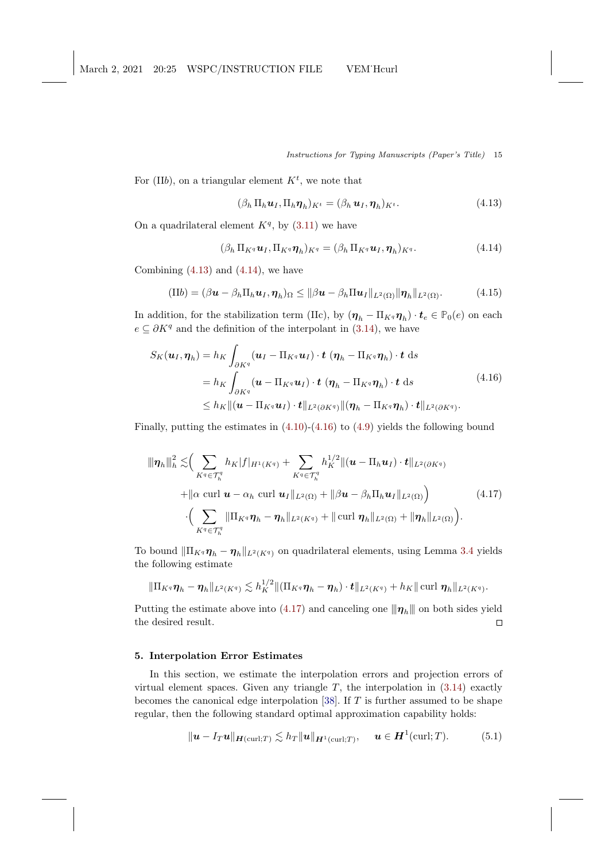<span id="page-14-6"></span>For (IIb), on a triangular element  $K^t$ , we note that

<span id="page-14-1"></span>
$$
(\beta_h \Pi_h \mathbf{u}_I, \Pi_h \mathbf{\eta}_h)_{K^t} = (\beta_h \mathbf{u}_I, \mathbf{\eta}_h)_{K^t}.
$$
\n(4.13)

On a quadrilateral element  $K<sup>q</sup>$ , by [\(3.11\)](#page-9-2) we have

<span id="page-14-2"></span>
$$
(\beta_h \Pi_{K^q} \mathbf{u}_I, \Pi_{K^q} \mathbf{\eta}_h)_{K^q} = (\beta_h \Pi_{K^q} \mathbf{u}_I, \mathbf{\eta}_h)_{K^q}.
$$
\n(4.14)

Combining  $(4.13)$  and  $(4.14)$ , we have

$$
(IIb) = (\beta \mathbf{u} - \beta_h \Pi_h \mathbf{u}_I, \boldsymbol{\eta}_h)_{\Omega} \leq ||\beta \mathbf{u} - \beta_h \Pi \mathbf{u}_I||_{L^2(\Omega)} ||\boldsymbol{\eta}_h||_{L^2(\Omega)}.
$$
 (4.15)

In addition, for the stabilization term (IIc), by  $(\eta_h - \Pi_{K^q} \eta_h) \cdot t_e \in \mathbb{P}_0(e)$  on each  $e \subseteq \partial K^q$  and the definition of the interpolant in [\(3.14\)](#page-9-3), we have

<span id="page-14-3"></span>
$$
S_K(\boldsymbol{u}_I, \boldsymbol{\eta}_h) = h_K \int_{\partial K^q} (\boldsymbol{u}_I - \Pi_{K^q} \boldsymbol{u}_I) \cdot \boldsymbol{t} \, (\boldsymbol{\eta}_h - \Pi_{K^q} \boldsymbol{\eta}_h) \cdot \boldsymbol{t} \, ds
$$
  
\n
$$
= h_K \int_{\partial K^q} (\boldsymbol{u} - \Pi_{K^q} \boldsymbol{u}_I) \cdot \boldsymbol{t} \, (\boldsymbol{\eta}_h - \Pi_{K^q} \boldsymbol{\eta}_h) \cdot \boldsymbol{t} \, ds
$$
  
\n
$$
\leq h_K \| (\boldsymbol{u} - \Pi_{K^q} \boldsymbol{u}_I) \cdot \boldsymbol{t} \|_{L^2(\partial K^q)} \| (\boldsymbol{\eta}_h - \Pi_{K^q} \boldsymbol{\eta}_h) \cdot \boldsymbol{t} \|_{L^2(\partial K^q)}.
$$
\n(4.16)

Finally, putting the estimates in  $(4.10)-(4.16)$  $(4.10)-(4.16)$  to  $(4.9)$  yields the following bound

<span id="page-14-4"></span>
$$
\|\eta_{h}\|_{h}^{2} \lesssim \Big(\sum_{K^{q} \in \mathcal{T}_{h}^{q}} h_{K}|f|_{H^{1}(K^{q})} + \sum_{K^{q} \in \mathcal{T}_{h}^{q}} h_{K}^{1/2} \|(\boldsymbol{u} - \Pi_{h}\boldsymbol{u}_{I}) \cdot \boldsymbol{t}\|_{L^{2}(\partial K^{q})} + \|\alpha \operatorname{curl} \boldsymbol{u} - \alpha_{h} \operatorname{curl} \boldsymbol{u}_{I}\|_{L^{2}(\Omega)} + \|\beta \boldsymbol{u} - \beta_{h} \Pi_{h} \boldsymbol{u}_{I}\|_{L^{2}(\Omega)} \Big) \cdot \Big(\sum_{K^{q} \in \mathcal{T}_{h}^{q}} \|\Pi_{K^{q}} \boldsymbol{\eta}_{h} - \boldsymbol{\eta}_{h}\|_{L^{2}(K^{q})} + \|\operatorname{curl} \boldsymbol{\eta}_{h}\|_{L^{2}(\Omega)} + \|\boldsymbol{\eta}_{h}\|_{L^{2}(\Omega)} \Big).
$$
\n(4.17)

To bound  $\|\Pi_{K^q}\eta_h - \eta_h\|_{L^2(K^q)}$  on quadrilateral elements, using Lemma [3.4](#page-10-4) yields the following estimate

$$
\|\Pi_{K^q}\eta_h-\eta_h\|_{L^2(K^q)}\lesssim h_K^{1/2}\|(\Pi_{K^q}\eta_h-\eta_h)\cdot t\|_{L^2(K^q)}+h_K\|\,\text{curl}\,\,\eta_h\|_{L^2(K^q)}.
$$

Putting the estimate above into [\(4.17\)](#page-14-4) and canceling one  $\|\eta_h\|$  on both sides yield the desired result.  $\Box$ 

# <span id="page-14-0"></span>5. Interpolation Error Estimates

In this section, we estimate the interpolation errors and projection errors of virtual element spaces. Given any triangle  $T$ , the interpolation in  $(3.14)$  exactly becomes the canonical edge interpolation [\[38\]](#page-27-3). If  $T$  is further assumed to be shape regular, then the following standard optimal approximation capability holds:

<span id="page-14-5"></span>
$$
\|\mathbf{u} - I_T\mathbf{u}\|_{\mathbf{H}(\text{curl};T)} \lesssim h_T \|\mathbf{u}\|_{\mathbf{H}^1(\text{curl};T)}, \quad \mathbf{u} \in \mathbf{H}^1(\text{curl};T). \tag{5.1}
$$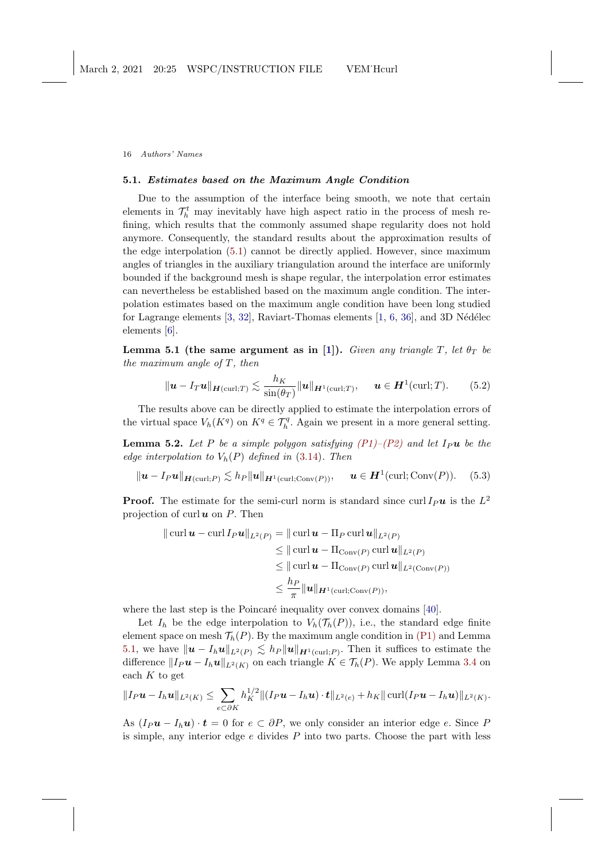### <span id="page-15-4"></span><span id="page-15-0"></span>5.1. Estimates based on the Maximum Angle Condition

Due to the assumption of the interface being smooth, we note that certain elements in  $\mathcal{T}_h^t$  may inevitably have high aspect ratio in the process of mesh refining, which results that the commonly assumed shape regularity does not hold anymore. Consequently, the standard results about the approximation results of the edge interpolation [\(5.1\)](#page-14-5) cannot be directly applied. However, since maximum angles of triangles in the auxiliary triangulation around the interface are uniformly bounded if the background mesh is shape regular, the interpolation error estimates can nevertheless be established based on the maximum angle condition. The interpolation estimates based on the maximum angle condition have been long studied for Lagrange elements  $[3, 32]$  $[3, 32]$ , Raviart-Thomas elements  $[1, 6, 36]$  $[1, 6, 36]$  $[1, 6, 36]$  $[1, 6, 36]$ , and 3D Nédélec elements [\[6\]](#page-25-15).

<span id="page-15-1"></span>Lemma 5.1 (the same argument as in [\[1\]](#page-24-1)). Given any triangle T, let  $\theta_T$  be the maximum angle of  $T$ , then

<span id="page-15-3"></span>
$$
\|\mathbf{u} - I_T\mathbf{u}\|_{\mathbf{H}(\text{curl};T)} \lesssim \frac{h_K}{\sin(\theta_T)} \|\mathbf{u}\|_{\mathbf{H}^1(\text{curl};T)}, \quad \mathbf{u} \in \mathbf{H}^1(\text{curl};T). \tag{5.2}
$$

The results above can be directly applied to estimate the interpolation errors of the virtual space  $V_h(K^q)$  on  $K^q \in \mathcal{T}_h^q$ . Again we present in a more general setting.

**Lemma 5.2.** Let P be a simple polygon satisfying  $(P1)$ – $(P2)$  and let I<sub>P</sub>u be the edge interpolation to  $V_h(P)$  defined in [\(3.14\)](#page-9-3). Then

<span id="page-15-2"></span>
$$
\|\mathbf{u} - I_P \mathbf{u}\|_{\mathbf{H}(\text{curl};P)} \lesssim h_P \|\mathbf{u}\|_{\mathbf{H}^1(\text{curl};\text{Conv}(P))}, \quad \mathbf{u} \in \mathbf{H}^1(\text{curl};\text{Conv}(P)). \tag{5.3}
$$

**Proof.** The estimate for the semi-curl norm is standard since curl  $I_P u$  is the  $L^2$ projection of curl  $u$  on  $P$ . Then

$$
\|\operatorname{curl} \boldsymbol{u} - \operatorname{curl} I_P \boldsymbol{u}\|_{L^2(P)} = \|\operatorname{curl} \boldsymbol{u} - \Pi_P \operatorname{curl} \boldsymbol{u}\|_{L^2(P)}
$$
  
\n
$$
\leq \|\operatorname{curl} \boldsymbol{u} - \Pi_{\operatorname{Conv}(P)} \operatorname{curl} \boldsymbol{u}\|_{L^2(P)}
$$
  
\n
$$
\leq \|\operatorname{curl} \boldsymbol{u} - \Pi_{\operatorname{Conv}(P)} \operatorname{curl} \boldsymbol{u}\|_{L^2(\operatorname{Conv}(P))}
$$
  
\n
$$
\leq \frac{h_P}{\pi} \|\boldsymbol{u}\|_{H^1(\operatorname{curl}; \operatorname{Conv}(P))},
$$

where the last step is the Poincaré inequality over convex domains [\[40\]](#page-27-8).

Let  $I_h$  be the edge interpolation to  $V_h(\mathcal{T}_h(P))$ , i.e., the standard edge finite element space on mesh  $\mathcal{T}_h(P)$ . By the maximum angle condition in [\(P1\)](#page-7-1) and Lemma [5.1,](#page-15-1) we have  $\|\mathbf{u} - I_h\mathbf{u}\|_{L^2(P)} \lesssim h_P \|\mathbf{u}\|_{H^1(\text{curl};P)}$ . Then it suffices to estimate the difference  $||I_P u - I_h u||_{L^2(K)}$  on each triangle  $K \in \mathcal{T}_h(P)$ . We apply Lemma [3.4](#page-10-4) on each  $K$  to get

$$
||I_P \mathbf{u} - I_h \mathbf{u}||_{L^2(K)} \leq \sum_{e \subset \partial K} h_K^{1/2} ||(I_P \mathbf{u} - I_h \mathbf{u}) \cdot \mathbf{t}||_{L^2(e)} + h_K ||\operatorname{curl}(I_P \mathbf{u} - I_h \mathbf{u})||_{L^2(K)}.
$$

As  $(I_P u - I_h u) \cdot t = 0$  for  $e \subset \partial P$ , we only consider an interior edge e. Since P is simple, any interior edge  $e$  divides  $P$  into two parts. Choose the part with less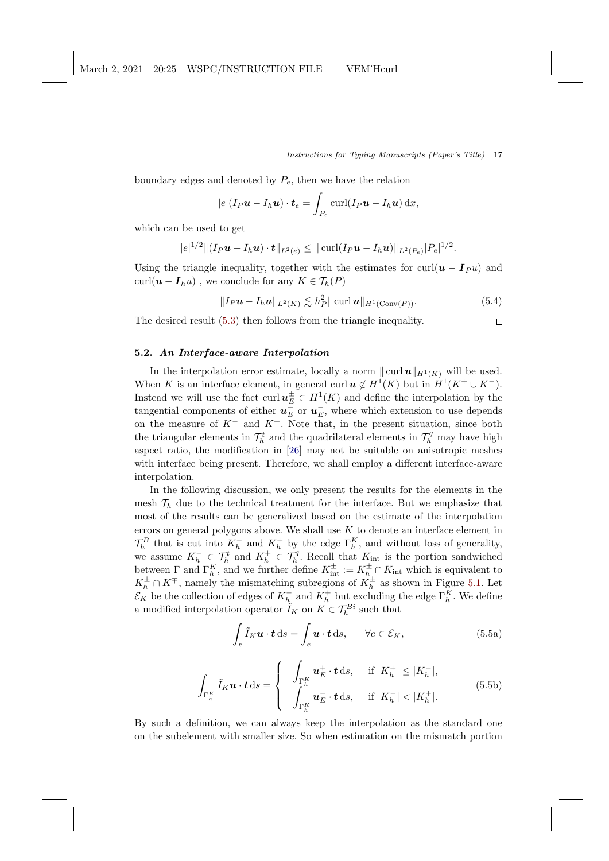$\Box$ 

<span id="page-16-2"></span>boundary edges and denoted by  $P_e$ , then we have the relation

$$
|e|(I_P\boldsymbol{u}-I_h\boldsymbol{u})\cdot\boldsymbol{t}_e=\int_{P_e} \text{curl}(I_P\boldsymbol{u}-I_h\boldsymbol{u})\,\mathrm{d}x,
$$

which can be used to get

$$
|e|^{1/2} \|(I_P \mathbf{u} - I_h \mathbf{u}) \cdot \mathbf{t}\|_{L^2(e)} \leq ||\operatorname{curl}(I_P \mathbf{u} - I_h \mathbf{u})||_{L^2(P_e)}|P_e|^{1/2}.
$$

Using the triangle inequality, together with the estimates for curl( $u - I_{P} u$ ) and curl( $\mathbf{u} - \mathbf{I}_h u$ ), we conclude for any  $K \in \mathcal{T}_h(P)$ 

$$
||I_P \mathbf{u} - I_h \mathbf{u}||_{L^2(K)} \lesssim h_P^2 ||\operatorname{curl} \mathbf{u}||_{H^1(\operatorname{Conv}(P))}.
$$
\n(5.4)

The desired result [\(5.3\)](#page-15-2) then follows from the triangle inequality.

# <span id="page-16-0"></span>5.2. An Interface-aware Interpolation

In the interpolation error estimate, locally a norm  $\|\text{curl }u\|_{H^1(K)}$  will be used. When K is an interface element, in general curl  $u \notin H^1(K)$  but in  $H^1(K^+ \cup K^-)$ . Instead we will use the fact curl  $u<sub>E</sub><sup>±</sup> \in H<sup>1</sup>(K)$  and define the interpolation by the tangential components of either  $u_E^+$  or  $u_E^-$ , where which extension to use depends on the measure of  $K^-$  and  $K^+$ . Note that, in the present situation, since both the triangular elements in  $\mathcal{T}_h^t$  and the quadrilateral elements in  $\mathcal{T}_h^q$  may have high aspect ratio, the modification in [\[26\]](#page-26-1) may not be suitable on anisotropic meshes with interface being present. Therefore, we shall employ a different interface-aware interpolation.

In the following discussion, we only present the results for the elements in the mesh  $\mathcal{T}_h$  due to the technical treatment for the interface. But we emphasize that most of the results can be generalized based on the estimate of the interpolation errors on general polygons above. We shall use  $K$  to denote an interface element in  $\mathcal{T}_h^B$  that is cut into  $K_h^-$  and  $K_h^+$  by the edge  $\Gamma_h^K$ , and without loss of generality, we assume  $K_h^- \in \mathcal{T}_h^t$  and  $K_h^+ \in \mathcal{T}_h^q$ . Recall that  $K_{\text{int}}$  is the portion sandwiched between  $\Gamma$  and  $\Gamma_h^K$ , and we further define  $K_{int}^{\pm} := K_h^{\pm} \cap K_{int}$  which is equivalent to  $K_h^{\pm} \cap K^{\mp}$ , namely the mismatching subregions of  $K_h^{\pm}$  as shown in Figure [5.1.](#page-17-0) Let  $\mathcal{E}_K$  be the collection of edges of  $K_{h_L}^-$  and  $K_h^+$  but excluding the edge  $\Gamma_h^K$ . We define a modified interpolation operator  $\tilde{I}_K$  on  $K \in \mathcal{T}_h^{Bi}$  such that

<span id="page-16-1"></span>
$$
\int_{e} \tilde{I}_{K} \mathbf{u} \cdot \mathbf{t} \, \mathrm{d}s = \int_{e} \mathbf{u} \cdot \mathbf{t} \, \mathrm{d}s, \qquad \forall e \in \mathcal{E}_{K}, \tag{5.5a}
$$

$$
\int_{\Gamma_h^K} \tilde{I}_K \boldsymbol{u} \cdot \boldsymbol{t} \, \mathrm{d}s = \begin{cases} \n\int_{\Gamma_h^K} \boldsymbol{u}_E^+ \cdot \boldsymbol{t} \, \mathrm{d}s, & \text{if } |K_h^+| \le |K_h^-|, \\
\int_{\Gamma_h^K} \boldsymbol{u}_E^- \cdot \boldsymbol{t} \, \mathrm{d}s, & \text{if } |K_h^-| < |K_h^+|.\n\end{cases} \tag{5.5b}
$$

By such a definition, we can always keep the interpolation as the standard one on the subelement with smaller size. So when estimation on the mismatch portion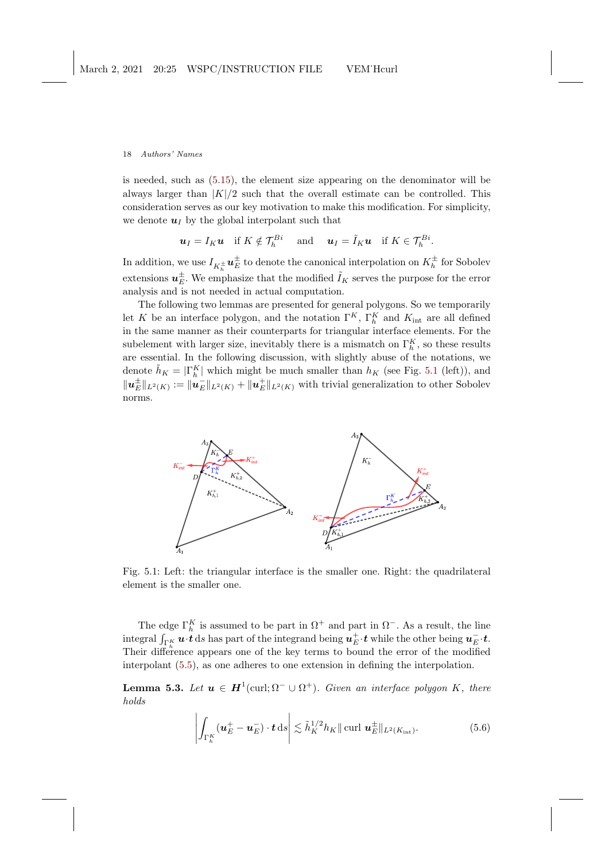is needed, such as [\(5.15\)](#page-19-0), the element size appearing on the denominator will be always larger than  $|K|/2$  such that the overall estimate can be controlled. This consideration serves as our key motivation to make this modification. For simplicity, we denote  $u_I$  by the global interpolant such that

$$
\mathbf{u}_I = I_K \mathbf{u}
$$
 if  $K \notin \mathcal{T}_h^{Bi}$  and  $\mathbf{u}_I = \tilde{I}_K \mathbf{u}$  if  $K \in \mathcal{T}_h^{Bi}$ .

In addition, we use  $I_{K_h^{\pm}}\bm{u}_E^{\pm}$  to denote the canonical interpolation on  $K_h^{\pm}$  for Sobolev extensions  $u<sub>E</sub><sup>\pm</sup>$ . We emphasize that the modified  $\tilde{I}<sub>K</sub>$  serves the purpose for the error analysis and is not needed in actual computation.

The following two lemmas are presented for general polygons. So we temporarily let K be an interface polygon, and the notation  $\Gamma^K$ ,  $\Gamma_h^K$  and  $K_{\text{int}}$  are all defined in the same manner as their counterparts for triangular interface elements. For the subelement with larger size, inevitably there is a mismatch on  $\Gamma_h^K$ , so these results are essential. In the following discussion, with slightly abuse of the notations, we denote  $\tilde{h}_K = |\Gamma_h^K|$  which might be much smaller than  $h_K$  (see Fig. [5.1](#page-17-0) (left)), and  $||u_E^{\pm}||_{L^2(K)} = ||u_E^-||_{L^2(K)} + ||u_E^{\pm}||_{L^2(K)}$  with trivial generalization to other Sobolev norms.

<span id="page-17-0"></span>

Fig. 5.1: Left: the triangular interface is the smaller one. Right: the quadrilateral element is the smaller one.

The edge  $\Gamma_h^K$  is assumed to be part in  $\Omega^+$  and part in  $\Omega^-$ . As a result, the line integral  $\int_{\Gamma_h^K} u \cdot t \, ds$  has part of the integrand being  $u_E^{\pm} \cdot t$  while the other being  $u_E^{\pm} \cdot t$ . Their difference appears one of the key terms to bound the error of the modified interpolant [\(5.5\)](#page-16-1), as one adheres to one extension in defining the interpolation.

**Lemma 5.3.** Let  $u \in H^1(\text{curl}; \Omega^- \cup \Omega^+)$ . Given an interface polygon K, there holds

<span id="page-17-2"></span><span id="page-17-1"></span>
$$
\left| \int_{\Gamma_h^K} (\boldsymbol{u}_E^+ - \boldsymbol{u}_E^-) \cdot \boldsymbol{t} \, \mathrm{d} s \right| \lesssim \tilde{h}_K^{1/2} h_K \|\operatorname{curl} \boldsymbol{u}_E^{\pm}\|_{L^2(K_{\mathrm{int}})}.\tag{5.6}
$$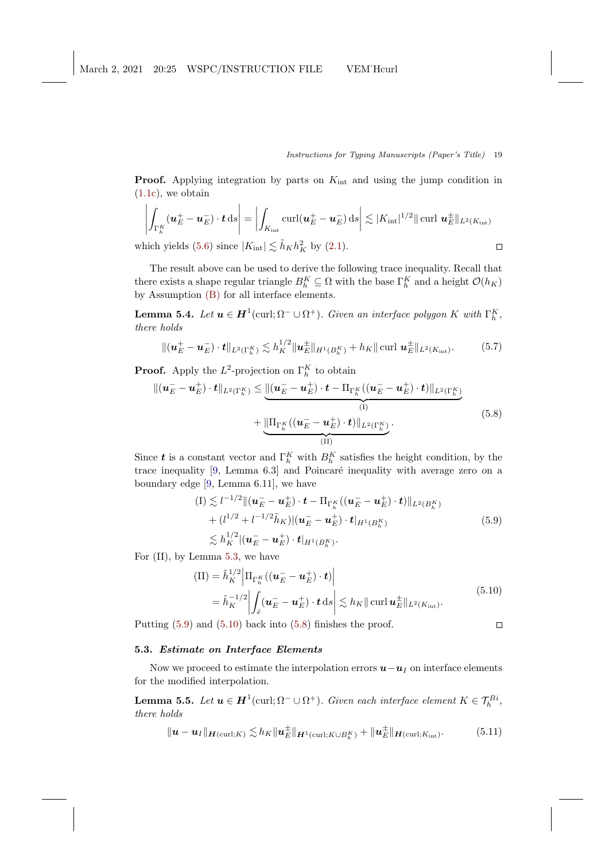<span id="page-18-5"></span>**Proof.** Applying integration by parts on  $K_{int}$  and using the jump condition in [\(1.1c\)](#page-1-0), we obtain

$$
\left| \int_{\Gamma_h^K} (\mathbf{u}_E^+ - \mathbf{u}_E^-) \cdot \mathbf{t} \, \mathrm{d}s \right| = \left| \int_{K_{\text{int}}} \text{curl}(\mathbf{u}_E^+ - \mathbf{u}_E^-) \, \mathrm{d}s \right| \lesssim |K_{\text{int}}|^{1/2} \|\text{curl } \mathbf{u}_E^{\pm}\|_{L^2(K_{\text{int}})}
$$
\nwhich yields (5.6) since

\n $|K_{\text{int}}| \lesssim \tilde{h}_K h_K^2$ \nby (2.1).

which yields [\(5.6\)](#page-17-1) since  $|K_{int}| \lesssim \tilde{h}_K h_K^2$  by [\(2.1\)](#page-4-1).

The result above can be used to derive the following trace inequality. Recall that there exists a shape regular triangle  $B_h^K \subseteq \Omega$  with the base  $\Gamma_h^K$  and a height  $\mathcal{O}(h_K)$ by Assumption [\(B\)](#page-4-0) for all interface elements.

**Lemma 5.4.** Let  $u \in H^1(\text{curl}; \Omega^- \cup \Omega^+)$ . Given an interface polygon K with  $\Gamma_h^K$ , there holds

<span id="page-18-3"></span>
$$
\|(\boldsymbol{u}_E^+ - \boldsymbol{u}_E^-) \cdot \boldsymbol{t}\|_{L^2(\Gamma_h^K)} \lesssim h_K^{1/2} \|\boldsymbol{u}_E^{\pm}\|_{H^1(B_h^K)} + h_K \|\text{curl } \boldsymbol{u}_E^{\pm}\|_{L^2(K_{\rm int})}. \tag{5.7}
$$

**Proof.** Apply the  $L^2$ -projection on  $\Gamma_h^K$  to obtain

<span id="page-18-2"></span>
$$
\|(\boldsymbol{u}_E - \boldsymbol{u}_E^+) \cdot \boldsymbol{t}\|_{L^2(\Gamma_h^K)} \leq \underbrace{\|(\boldsymbol{u}_E - \boldsymbol{u}_E^+) \cdot \boldsymbol{t} - \Pi_{\Gamma_h^K}((\boldsymbol{u}_E - \boldsymbol{u}_E^+) \cdot \boldsymbol{t})\|_{L^2(\Gamma_h^K)}}_{\text{(I)}} + \underbrace{\|\Pi_{\Gamma_h^K}((\boldsymbol{u}_E - \boldsymbol{u}_E^+) \cdot \boldsymbol{t})\|_{L^2(\Gamma_h^K)}}_{\text{(II)}}.
$$
\n(5.8)

Since **t** is a constant vector and  $\Gamma_h^K$  with  $B_h^K$  satisfies the height condition, by the trace inequality  $[9, \text{ Lemma } 6.3]$  and Poincaré inequality with average zero on a boundary edge [\[9,](#page-25-9) Lemma 6.11], we have

$$
(I) \lesssim l^{-1/2} \| (\boldsymbol{u}_E - \boldsymbol{u}_E^+) \cdot \boldsymbol{t} - \Pi_{\Gamma_h^K} ((\boldsymbol{u}_E - \boldsymbol{u}_E^+) \cdot \boldsymbol{t}) \|_{L^2(B_h^K)} + (l^{1/2} + l^{-1/2} \tilde{h}_K) \| (\boldsymbol{u}_E^- - \boldsymbol{u}_E^+) \cdot \boldsymbol{t} |_{H^1(B_h^K)} \lesssim h_K^{1/2} | (\boldsymbol{u}_E^- - \boldsymbol{u}_E^+) \cdot \boldsymbol{t} |_{H^1(B_h^K)}.
$$
\n
$$
(5.9)
$$

<span id="page-18-1"></span><span id="page-18-0"></span>For (II), by Lemma [5.3,](#page-17-2) we have

$$
\begin{split} \text{(II)} &= \tilde{h}_{K}^{1/2} \left| \Pi_{\Gamma_{h}^{K}} \left( (\boldsymbol{u}_{E}^{-} - \boldsymbol{u}_{E}^{+}) \cdot \boldsymbol{t} \right) \right| \\ &= \tilde{h}_{K}^{-1/2} \left| \int_{\tilde{e}} (\boldsymbol{u}_{E}^{-} - \boldsymbol{u}_{E}^{+}) \cdot \boldsymbol{t} \, \mathrm{d}s \right| \lesssim h_{K} \|\operatorname{curl} \boldsymbol{u}_{E}^{\pm} \|_{L^{2}(K_{\mathrm{int}})}. \end{split} \tag{5.10}
$$

Putting [\(5.9\)](#page-18-0) and [\(5.10\)](#page-18-1) back into [\(5.8\)](#page-18-2) finishes the proof.

 $\Box$ 

## 5.3. Estimate on Interface Elements

Now we proceed to estimate the interpolation errors  $u-u_I$  on interface elements for the modified interpolation.

<span id="page-18-4"></span>**Lemma 5.5.** Let  $u \in H^1(\text{curl}; \Omega^- \cup \Omega^+)$ . Given each interface element  $K \in \mathcal{T}_h^{Bi}$ , there holds

$$
\|\mathbf{u}-\mathbf{u}_I\|_{\mathbf{H}(\text{curl};K)} \lesssim h_K \|\mathbf{u}_E^{\pm}\|_{\mathbf{H}^1(\text{curl};K\cup B_h^K)} + \|\mathbf{u}_E^{\pm}\|_{\mathbf{H}(\text{curl};K_{\text{int}})}.\tag{5.11}
$$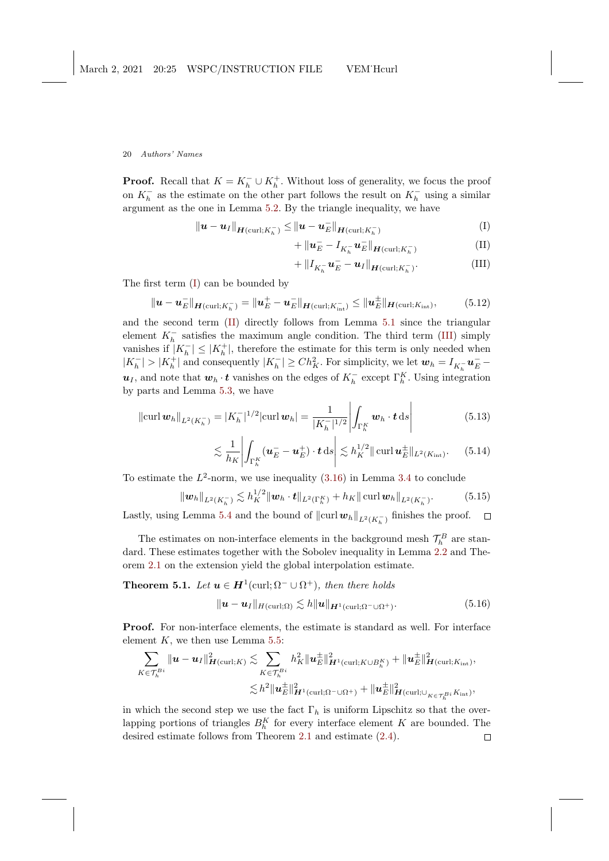**Proof.** Recall that  $K = K_h^- \cup K_h^+$ . Without loss of generality, we focus the proof on  $K_h^-$  as the estimate on the other part follows the result on  $K_h^-$  using a similar argument as the one in Lemma [5.2.](#page-15-3) By the triangle inequality, we have

$$
\|\boldsymbol{u} - \boldsymbol{u}_I\|_{\boldsymbol{H}(\text{curl};K_h^-)} \le \|\boldsymbol{u} - \boldsymbol{u}_E^-\|_{\boldsymbol{H}(\text{curl};K_h^-)}
$$
(I)

$$
+\left\|\mathbf{u}_E^{-}-I_{K_h^{-}}\mathbf{u}_E^{-}\right\|_{\mathbf{H}(\text{curl};K_h^{-})} \tag{II}
$$

<span id="page-19-3"></span><span id="page-19-2"></span><span id="page-19-1"></span>
$$
+ \|I_{K_h^-} \mathbf{u}_E^- - \mathbf{u}_I\|_{\mathbf{H}(\text{curl}; K_h^-)}.
$$
\n(III)

The first term [\(I\)](#page-19-1) can be bounded by

$$
\|\mathbf{u} - \mathbf{u}_E^-\|_{\mathbf{H}(\text{curl};K_h^-)} = \|\mathbf{u}_E^+ - \mathbf{u}_E^-\|_{\mathbf{H}(\text{curl};K_{\text{int}}^-)} \le \|\mathbf{u}_E^{\pm}\|_{\mathbf{H}(\text{curl};K_{\text{int}})},\tag{5.12}
$$

and the second term [\(II\)](#page-19-2) directly follows from Lemma [5.1](#page-15-1) since the triangular element  $K_h^-$  satisfies the maximum angle condition. The third term [\(III\)](#page-19-3) simply vanishes if  $|K_h^-| \leq |K_h^+|$ , therefore the estimate for this term is only needed when  $|K_h^-| > |K_h^+|$  and consequently  $|K_h^-| \ge Ch_K^2$ . For simplicity, we let  $w_h = I_{K_h^-} u_E^$  $u_I$ , and note that  $w_h \cdot t$  vanishes on the edges of  $K_h^-$  except  $\Gamma_h^K$ . Using integration by parts and Lemma [5.3,](#page-17-2) we have

$$
\|\operatorname{curl} \boldsymbol{w}_h\|_{L^2(K_h^-)} = |K_h^-|^{1/2} |\operatorname{curl} \boldsymbol{w}_h| = \frac{1}{|K_h^-|^{1/2}} \left| \int_{\Gamma_h^K} \boldsymbol{w}_h \cdot \boldsymbol{t} \, \mathrm{d}s \right| \tag{5.13}
$$

<span id="page-19-0"></span>
$$
\lesssim \frac{1}{h_K} \left| \int_{\Gamma_h^K} (\boldsymbol{u}_E^- - \boldsymbol{u}_E^+) \cdot \boldsymbol{t} \, \mathrm{d} s \right| \lesssim h_K^{1/2} \|\operatorname{curl} \boldsymbol{u}_E^{\pm}\|_{L^2(K_{\mathrm{int}})}. \tag{5.14}
$$

To estimate the  $L^2$ -norm, we use inequality  $(3.16)$  in Lemma [3.4](#page-10-4) to conclude

$$
\|\boldsymbol{w}_h\|_{L^2(K_h^-)} \lesssim h_K^{1/2} \|\boldsymbol{w}_h \cdot \boldsymbol{t}\|_{L^2(\Gamma_h^K)} + h_K \|\operatorname{curl} \boldsymbol{w}_h\|_{L^2(K_h^-)}.
$$
 (5.15)

Lastly, using Lemma [5.4](#page-18-3) and the bound of  $\|\text{curl } w_h\|_{L^2(K_h^-)}$  finishes the proof.  $\Box$ 

The estimates on non-interface elements in the background mesh  $\mathcal{T}_h^B$  are stan-dard. These estimates together with the Sobolev inequality in Lemma [2.2](#page-5-1) and Theorem [2.1](#page-6-3) on the extension yield the global interpolation estimate.

<span id="page-19-4"></span>**Theorem 5.1.** Let  $u \in H^1(\text{curl}; \Omega^- \cup \Omega^+)$ , then there holds

$$
\|\mathbf{u}-\mathbf{u}_I\|_{H(\text{curl};\Omega)} \lesssim h \|\mathbf{u}\|_{\mathbf{H}^1(\text{curl};\Omega^-\cup\Omega^+)}.\tag{5.16}
$$

Proof. For non-interface elements, the estimate is standard as well. For interface element  $K$ , we then use Lemma [5.5:](#page-18-4)

$$
\sum_{K\in\mathcal{T}_h^{Bi}}\|\mathbf{u}-\mathbf{u}_I\|_{\mathbf{H}(\text{curl};K)}^2 \lesssim \sum_{K\in\mathcal{T}_h^{Bi}} h_K^2 \|\mathbf{u}_E^{\pm}\|_{\mathbf{H}^1(\text{curl};K\cup B_h^K)}^2 + \|\mathbf{u}_E^{\pm}\|_{\mathbf{H}(\text{curl};K_{\text{int}})}^2,
$$
  

$$
\lesssim h^2 \|\mathbf{u}_E^{\pm}\|_{\mathbf{H}^1(\text{curl};\Omega^-\cup\Omega^+)}^2 + \|\mathbf{u}_E^{\pm}\|_{\mathbf{H}(\text{curl};\cup_{K\in\mathcal{T}_h^{Bi}}^2 K_{\text{int}})},
$$

in which the second step we use the fact  $\Gamma_h$  is uniform Lipschitz so that the overlapping portions of triangles  $B_h^K$  for every interface element K are bounded. The desired estimate follows from Theorem [2.1](#page-6-3) and estimate [\(2.4\)](#page-5-2). $\Box$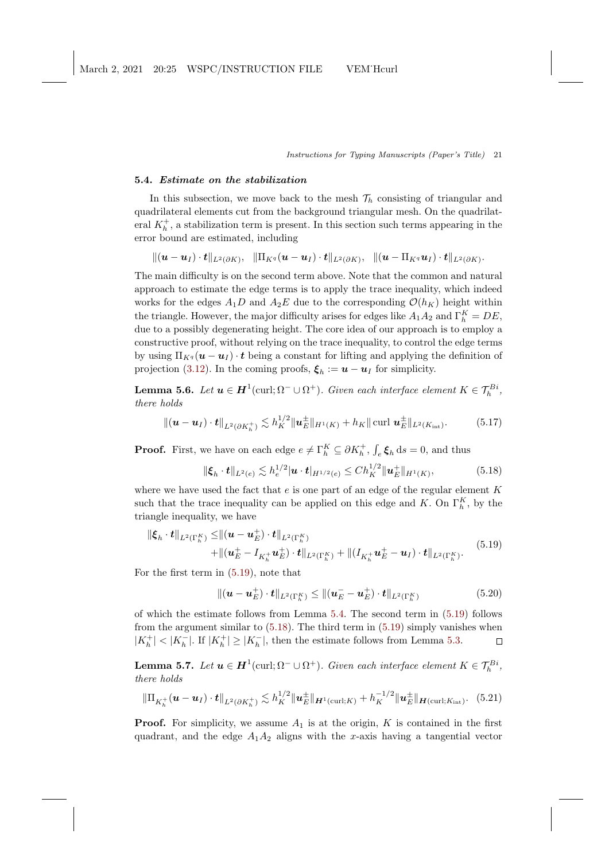## 5.4. Estimate on the stabilization

In this subsection, we move back to the mesh  $\mathcal{T}_h$  consisting of triangular and quadrilateral elements cut from the background triangular mesh. On the quadrilateral  $K_h^+$ , a stabilization term is present. In this section such terms appearing in the error bound are estimated, including

 $\Vert \left(\bm{u}-\bm{u}_I\right)\cdot\bm{t}\Vert_{L^2(\partial K)},\ \ \Vert \Pi_{K^q}(\bm{u}-\bm{u}_I)\cdot\bm{t}\Vert_{L^2(\partial K)},\ \ \Vert (\bm{u}-\Pi_{K^q}\bm{u}_I)\cdot\bm{t}\Vert_{L^2(\partial K)}.$ 

The main difficulty is on the second term above. Note that the common and natural approach to estimate the edge terms is to apply the trace inequality, which indeed works for the edges  $A_1D$  and  $A_2E$  due to the corresponding  $\mathcal{O}(h_K)$  height within the triangle. However, the major difficulty arises for edges like  $A_1 A_2$  and  $\Gamma_h^K = DE$ , due to a possibly degenerating height. The core idea of our approach is to employ a constructive proof, without relying on the trace inequality, to control the edge terms by using  $\Pi_{Kq}(\boldsymbol{u} - \boldsymbol{u}_I) \cdot \boldsymbol{t}$  being a constant for lifting and applying the definition of projection [\(3.12\)](#page-9-4). In the coming proofs,  $\xi_h := \boldsymbol{u} - \boldsymbol{u}_I$  for simplicity.

**Lemma 5.6.** Let  $u \in H^1(\text{curl}; \Omega^- \cup \Omega^+)$ . Given each interface element  $K \in \mathcal{T}_h^{Bi}$ , there holds

$$
\|(\mathbf{u}-\mathbf{u}_I)\cdot\mathbf{t}\|_{L^2(\partial K_h^+)} \lesssim h_K^{1/2} \|\mathbf{u}_E^{\pm}\|_{H^1(K)} + h_K \|\text{curl } \mathbf{u}_E^{\pm}\|_{L^2(K_{\text{int}})}. \tag{5.17}
$$

**Proof.** First, we have on each edge  $e \neq \Gamma_h^K \subseteq \partial K_h^+$ ,  $\int_e \xi_h ds = 0$ , and thus

<span id="page-20-2"></span><span id="page-20-1"></span>
$$
\|\xi_h \cdot t\|_{L^2(e)} \lesssim h_e^{1/2} |\mathbf{u} \cdot t|_{H^{1/2}(e)} \leq Ch_K^{1/2} \|\mathbf{u}_E^+\|_{H^1(K)},\tag{5.18}
$$

where we have used the fact that  $e$  is one part of an edge of the regular element  $K$ such that the trace inequality can be applied on this edge and K. On  $\Gamma_h^K$ , by the triangle inequality, we have

<span id="page-20-0"></span>
$$
\|\xi_{h} \cdot t\|_{L^{2}(\Gamma_{h}^{K})} \leq \|(\boldsymbol{u} - \boldsymbol{u}_{E}^{+}) \cdot t\|_{L^{2}(\Gamma_{h}^{K})} + \|(\boldsymbol{u}_{E}^{+} - \boldsymbol{I}_{K_{h}^{+}} \boldsymbol{u}_{E}^{+}) \cdot t\|_{L^{2}(\Gamma_{h}^{K})} + \|(\boldsymbol{I}_{K_{h}^{+}} \boldsymbol{u}_{E}^{+} - \boldsymbol{u}_{I}) \cdot t\|_{L^{2}(\Gamma_{h}^{K})}.
$$
\n(5.19)

For the first term in [\(5.19\)](#page-20-0), note that

$$
\|(\bm{u}-\bm{u}_E^+) \cdot \bm{t}\|_{L^2(\Gamma_h^K)} \leq \|(\bm{u}_E^- - \bm{u}_E^+) \cdot \bm{t}\|_{L^2(\Gamma_h^K)} \tag{5.20}
$$

of which the estimate follows from Lemma [5.4.](#page-18-3) The second term in [\(5.19\)](#page-20-0) follows from the argument similar to [\(5.18\)](#page-20-1). The third term in [\(5.19\)](#page-20-0) simply vanishes when  $|K_h^+| < |K_h^-|$  . If  $|K_h^+| \ge |K_h^-|$  , then the estimate follows from Lemma [5.3.](#page-17-2)  $\Box$ 

<span id="page-20-3"></span>**Lemma 5.7.** Let  $u \in H^1(\text{curl}; \Omega^- \cup \Omega^+)$ . Given each interface element  $K \in \mathcal{T}_h^{Bi}$ , there holds

$$
\|\Pi_{K_h^+}(\mathbf{u}-\mathbf{u}_I)\cdot\mathbf{t}\|_{L^2(\partial K_h^+)} \lesssim h_K^{1/2} \|\mathbf{u}_E^{\pm}\|_{\mathbf{H}^1(\text{curl};K)} + h_K^{-1/2} \|\mathbf{u}_E^{\pm}\|_{\mathbf{H}(\text{curl};K_{\text{int}})}. (5.21)
$$

**Proof.** For simplicity, we assume  $A_1$  is at the origin, K is contained in the first quadrant, and the edge  $A_1A_2$  aligns with the x-axis having a tangential vector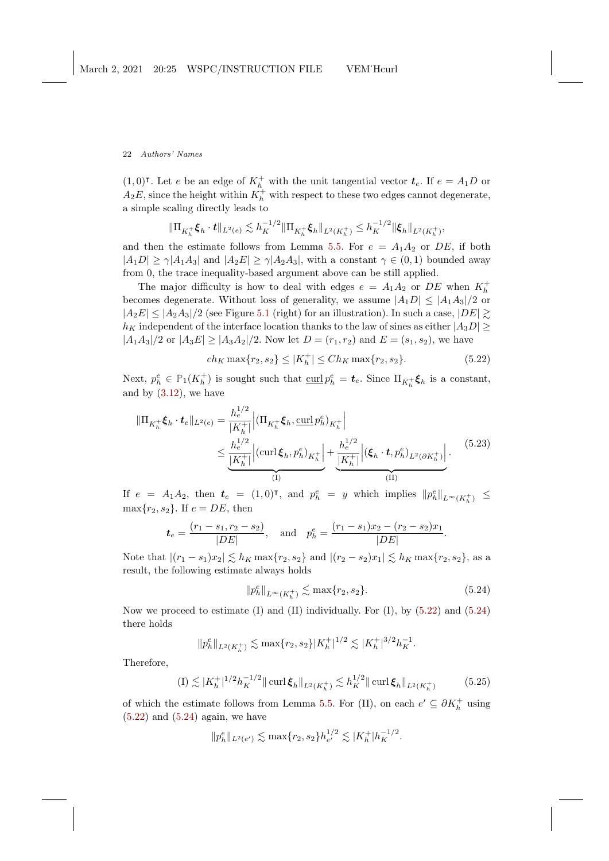$(1,0)^{\mathsf{T}}$ . Let e be an edge of  $K_h^+$  with the unit tangential vector  $t_e$ . If  $e = A_1 D$  or  $A_2E$ , since the height within  $K_h^+$  with respect to these two edges cannot degenerate, a simple scaling directly leads to

$$
\|\Pi_{K_h^+}\xi_h \cdot t\|_{L^2(e)} \lesssim h_K^{-1/2} \|\Pi_{K_h^+}\xi_h\|_{L^2(K_h^+)} \leq h_K^{-1/2} \|\xi_h\|_{L^2(K_h^+)},
$$

and then the estimate follows from Lemma [5.5.](#page-18-4) For  $e = A_1 A_2$  or DE, if both  $|A_1D| \geq \gamma |A_1A_3|$  and  $|A_2E| \geq \gamma |A_2A_3|$ , with a constant  $\gamma \in (0,1)$  bounded away from 0, the trace inequality-based argument above can be still applied.

The major difficulty is how to deal with edges  $e = A_1 A_2$  or DE when  $K_h^+$ becomes degenerate. Without loss of generality, we assume  $|A_1D| \leq |A_1A_3|/2$  or  $|A_2E| \leq |A_2A_3|/2$  (see Figure [5.1](#page-17-0) (right) for an illustration). In such a case,  $|DE| \gtrsim$  $h_K$  independent of the interface location thanks to the law of sines as either  $|A_3D| \geq$  $|A_1A_3|/2$  or  $|A_3E| \ge |A_3A_2|/2$ . Now let  $D = (r_1, r_2)$  and  $E = (s_1, s_2)$ , we have

<span id="page-21-0"></span>
$$
ch_K \max\{r_2, s_2\} \le |K_h^+| \le Ch_K \max\{r_2, s_2\}.
$$
 (5.22)

Next,  $p_h^e \in \mathbb{P}_1(K_h^+)$  is sought such that  $\underline{\text{curl}} p_h^e = \boldsymbol{t}_e$ . Since  $\Pi_{K_h^+} \boldsymbol{\xi}_h$  is a constant, and by  $(3.12)$ , we have

<span id="page-21-3"></span>
$$
\|\Pi_{K_{h}^{+}}\xi_{h} \cdot \boldsymbol{t}_{e}\|_{L^{2}(e)} = \frac{h_{e}^{1/2}}{|K_{h}^{+}|} \Big| (\Pi_{K_{h}^{+}}\xi_{h}, \underline{\text{curl}} p_{h}^{e})_{K_{h}^{+}} \Big| \n\leq \underbrace{\frac{h_{e}^{1/2}}{|K_{h}^{+}|} \Big| (\text{curl}\,\xi_{h}, p_{h}^{e})_{K_{h}^{+}}}_{\text{(I)}} + \underbrace{\frac{h_{e}^{1/2}}{|K_{h}^{+}|} \Big| (\xi_{h} \cdot \boldsymbol{t}, p_{h}^{e})_{L^{2}(\partial K_{h}^{+})}}_{\text{(II)}} \Big| \,. \tag{5.23}
$$

If  $e = A_1 A_2$ , then  $t_e = (1,0)$ <sup>T</sup>, and  $p_h^e = y$  which implies  $||p_h^e||_{L^{\infty}(K_h^+)} \le$  $\max\{r_2, s_2\}$ . If  $e = DE$ , then

$$
\boldsymbol{t}_e = \frac{(r_1 - s_1, r_2 - s_2)}{|DE|}, \text{ and } p_h^e = \frac{(r_1 - s_1)x_2 - (r_2 - s_2)x_1}{|DE|}.
$$

Note that  $|(r_1 - s_1)x_2|$   $\lesssim h_K \max\{r_2, s_2\}$  and  $|(r_2 - s_2)x_1|$   $\lesssim h_K \max\{r_2, s_2\}$ , as a result, the following estimate always holds

<span id="page-21-1"></span>
$$
\|p_h^e\|_{L^\infty(K_h^+)} \lesssim \max\{r_2, s_2\}.
$$
 (5.24)

Now we proceed to estimate (I) and (II) individually. For (I), by  $(5.22)$  and  $(5.24)$ there holds

$$
||p_h^e||_{L^2(K_h^+)} \lesssim \max\{r_2, s_2\} |K_h^+|^{1/2} \lesssim |K_h^+|^{3/2} h_K^{-1}.
$$

Therefore,

<span id="page-21-2"></span>
$$
(I) \lesssim |K_h^+|^{1/2} h_K^{-1/2} || \operatorname{curl} \xi_h ||_{L^2(K_h^+)} \lesssim h_K^{1/2} || \operatorname{curl} \xi_h ||_{L^2(K_h^+)}
$$
 (5.25)

of which the estimate follows from Lemma [5.5.](#page-18-4) For (II), on each  $e' \subseteq \partial K_h^+$  using  $(5.22)$  and  $(5.24)$  again, we have

$$
||p_h^e||_{L^2(e')} \lesssim \max\{r_2, s_2\} h_{e'}^{1/2} \lesssim |K_h^+| h_K^{-1/2}.
$$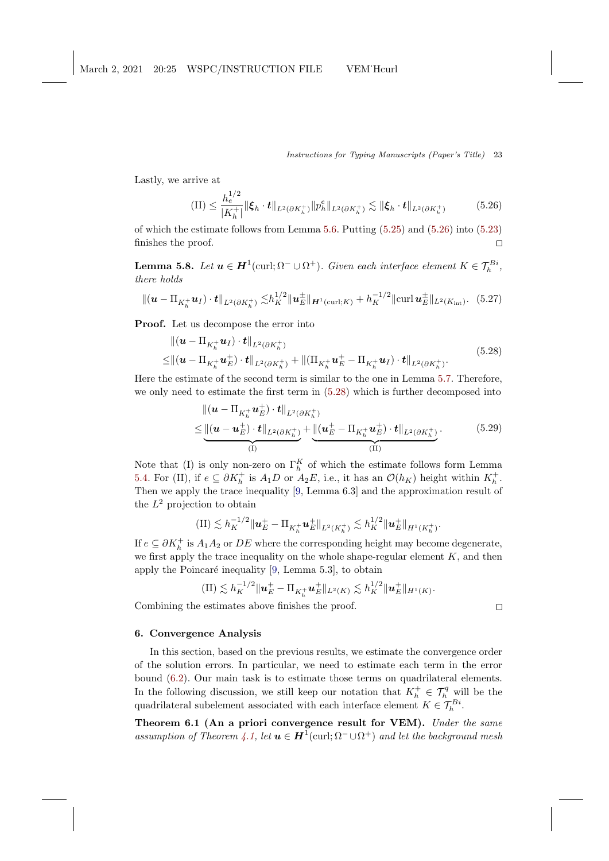<span id="page-22-4"></span>Lastly, we arrive at

<span id="page-22-1"></span>
$$
(II) \leq \frac{h_e^{1/2}}{|K_h^+|} \|\xi_h \cdot t\|_{L^2(\partial K_h^+)} \|p_h^e\|_{L^2(\partial K_h^+)} \lesssim \|\xi_h \cdot t\|_{L^2(\partial K_h^+)} \tag{5.26}
$$

of which the estimate follows from Lemma [5.6.](#page-20-2) Putting [\(5.25\)](#page-21-2) and [\(5.26\)](#page-22-1) into [\(5.23\)](#page-21-3) finishes the proof.  $\Box$ 

<span id="page-22-3"></span>**Lemma 5.8.** Let  $u \in H^1(\text{curl}; \Omega^- \cup \Omega^+)$ . Given each interface element  $K \in \mathcal{T}_h^{Bi}$ , there holds

$$
\|(\boldsymbol{u} - \Pi_{K_h^+} \boldsymbol{u}_I) \cdot \boldsymbol{t}\|_{L^2(\partial K_h^+)} \lesssim h_K^{1/2} \|\boldsymbol{u}_E^{\pm}\|_{\boldsymbol{H}^1(\text{curl};K)} + h_K^{-1/2} \|\text{curl } \boldsymbol{u}_E^{\pm}\|_{L^2(K_{\text{int}})}. (5.27)
$$

<span id="page-22-2"></span>Proof. Let us decompose the error into

$$
\|(\mathbf{u} - \Pi_{K_h^+} \mathbf{u}_I) \cdot \mathbf{t}\|_{L^2(\partial K_h^+)} \leq \|(\mathbf{u} - \Pi_{K_h^+} \mathbf{u}_E^+) \cdot \mathbf{t}\|_{L^2(\partial K_h^+)} + \|(\Pi_{K_h^+} \mathbf{u}_E^+ - \Pi_{K_h^+} \mathbf{u}_I) \cdot \mathbf{t}\|_{L^2(\partial K_h^+)}.
$$
\n(5.28)

Here the estimate of the second term is similar to the one in Lemma [5.7.](#page-20-3) Therefore, we only need to estimate the first term in [\(5.28\)](#page-22-2) which is further decomposed into

$$
\| (\boldsymbol{u} - \Pi_{K_h^+} \boldsymbol{u}_E^+ ) \cdot \boldsymbol{t} \|_{L^2(\partial K_h^+)} \n\leq \underbrace{\| (\boldsymbol{u} - \boldsymbol{u}_E^+ ) \cdot \boldsymbol{t} \|_{L^2(\partial K_h^+)}}_{(I)} + \underbrace{\| (\boldsymbol{u}_E^+ - \Pi_{K_h^+} \boldsymbol{u}_E^+ ) \cdot \boldsymbol{t} \|_{L^2(\partial K_h^+)}}_{(II)}.
$$
\n(5.29)

Note that (I) is only non-zero on  $\Gamma_h^K$  of which the estimate follows form Lemma [5.4.](#page-18-3) For (II), if  $e \subseteq \partial K_h^+$  is  $A_1D$  or  $A_2E$ , i.e., it has an  $\mathcal{O}(h_K)$  height within  $K_h^+$ . Then we apply the trace inequality [\[9,](#page-25-9) Lemma 6.3] and the approximation result of the  $L^2$  projection to obtain

$$
(II) \lesssim h_K^{-1/2} \|\mathbf{u}_E^+ - \Pi_{K_h^+} \mathbf{u}_E^+\|_{L^2(K_h^+)} \lesssim h_K^{1/2} \|\mathbf{u}_E^+\|_{H^1(K_h^+)}.
$$

If  $e \subseteq \partial K_h^+$  is  $A_1 A_2$  or  $DE$  where the corresponding height may become degenerate, we first apply the trace inequality on the whole shape-regular element  $K$ , and then apply the Poincaré inequality  $[9, \text{Lemma } 5.3]$ , to obtain

$$
(\text{II}) \lesssim h_K^{-1/2} \|\mathbf{u}_E^+ - \Pi_{K_h^+} \mathbf{u}_E^+\|_{L^2(K)} \lesssim h_K^{1/2} \|\mathbf{u}_E^+\|_{H^1(K)}.
$$

 $\Box$ 

Combining the estimates above finishes the proof.

# <span id="page-22-0"></span>6. Convergence Analysis

In this section, based on the previous results, we estimate the convergence order of the solution errors. In particular, we need to estimate each term in the error bound [\(6.2\)](#page-23-0). Our main task is to estimate those terms on quadrilateral elements. In the following discussion, we still keep our notation that  $K_h^+ \in \mathcal{T}_h^q$  will be the quadrilateral subelement associated with each interface element  $K \in \mathcal{T}_h^{Bi}$ .

Theorem 6.1 (An a priori convergence result for VEM). Under the same assumption of Theorem [4.1,](#page-13-2) let  $u \in H^1(\text{curl}; \Omega^- \cup \Omega^+)$  and let the background mesh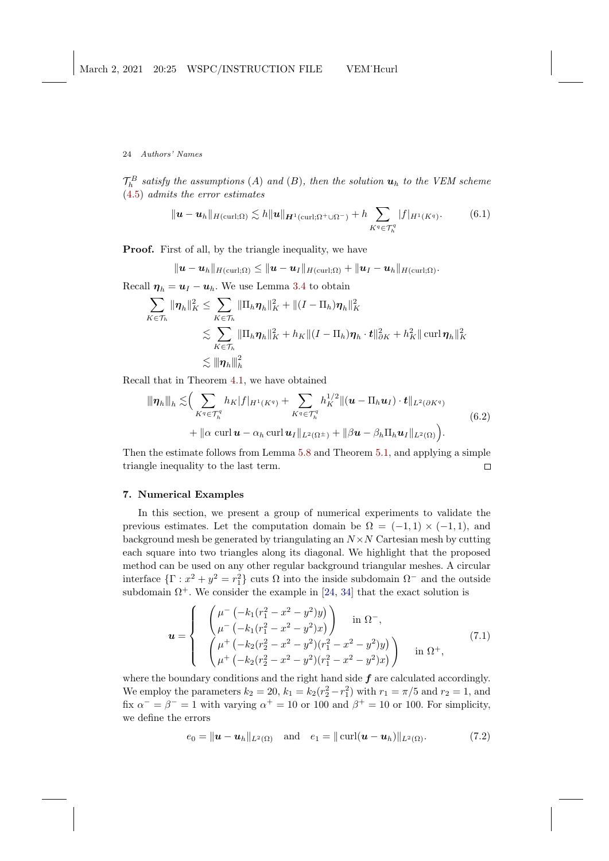<span id="page-23-1"></span> $\mathcal{T}_h^B$  satisfy the assumptions (A) and (B), then the solution  $\boldsymbol{u}_h$  to the VEM scheme [\(4.5\)](#page-12-3) admits the error estimates

$$
\|\mathbf{u}-\mathbf{u}_h\|_{H(\text{curl};\Omega)} \lesssim h \|\mathbf{u}\|_{\mathbf{H}^1(\text{curl};\Omega^+\cup\Omega^-)} + h \sum_{K^q \in \mathcal{T}_h^q} |f|_{H^1(K^q)}.
$$
 (6.1)

Proof. First of all, by the triangle inequality, we have

$$
\|\boldsymbol{u}-\boldsymbol{u}_h\|_{H(\mathrm{curl};\Omega)}\leq \|\boldsymbol{u}-\boldsymbol{u}_I\|_{H(\mathrm{curl};\Omega)}+\|\boldsymbol{u}_I-\boldsymbol{u}_h\|_{H(\mathrm{curl};\Omega)}.
$$

Recall  $\eta_h = u_I - u_h$ . We use Lemma [3.4](#page-10-4) to obtain

$$
\sum_{K\in\mathcal{T}_h} \|\boldsymbol{\eta}_h\|_K^2 \leq \sum_{K\in\mathcal{T}_h} \|\Pi_h \boldsymbol{\eta}_h\|_K^2 + \|(I - \Pi_h) \boldsymbol{\eta}_h\|_K^2
$$
  

$$
\lesssim \sum_{K\in\mathcal{T}_h} \|\Pi_h \boldsymbol{\eta}_h\|_K^2 + h_K \|(I - \Pi_h) \boldsymbol{\eta}_h \cdot \boldsymbol{t}\|_{\partial K}^2 + h_K^2 \|\operatorname{curl} \boldsymbol{\eta}_h\|_K^2
$$
  

$$
\lesssim \|\boldsymbol{\eta}_h\|_h^2
$$

Recall that in Theorem [4.1,](#page-13-2) we have obtained

<span id="page-23-0"></span>
$$
\|\eta_h\|_{h} \lesssim \Big( \sum_{K^q \in \mathcal{T}_h^q} h_K |f|_{H^1(K^q)} + \sum_{K^q \in \mathcal{T}_h^q} h_K^{1/2} \| (\boldsymbol{u} - \Pi_h \boldsymbol{u}_I) \cdot \boldsymbol{t} \|_{L^2(\partial K^q)} + \|\alpha \operatorname{curl} \boldsymbol{u} - \alpha_h \operatorname{curl} \boldsymbol{u}_I \|_{L^2(\Omega^{\pm})} + \|\beta \boldsymbol{u} - \beta_h \Pi_h \boldsymbol{u}_I \|_{L^2(\Omega)} \Big).
$$
(6.2)

Then the estimate follows from Lemma [5.8](#page-22-3) and Theorem [5.1,](#page-19-4) and applying a simple triangle inequality to the last term.  $\Box$ 

## 7. Numerical Examples

In this section, we present a group of numerical experiments to validate the previous estimates. Let the computation domain be  $\Omega = (-1,1) \times (-1,1)$ , and background mesh be generated by triangulating an  $N \times N$  Cartesian mesh by cutting each square into two triangles along its diagonal. We highlight that the proposed method can be used on any other regular background triangular meshes. A circular interface  $\{\Gamma : x^2 + y^2 = r_1^2\}$  cuts  $\Omega$  into the inside subdomain  $\Omega^-$  and the outside subdomain  $\Omega^+$ . We consider the example in [\[24,](#page-26-9) [34\]](#page-26-13) that the exact solution is

$$
\mathbf{u} = \begin{cases} \begin{pmatrix} \mu^{-} \left( -k_1 (r_1^2 - x^2 - y^2) y \right) \\ \mu^{-} \left( -k_1 (r_1^2 - x^2 - y^2) x \right) \end{pmatrix} & \text{in } \Omega^{-}, \\ \begin{pmatrix} \mu^{+} \left( -k_2 (r_2^2 - x^2 - y^2) (r_1^2 - x^2 - y^2) y \right) \\ \mu^{+} \left( -k_2 (r_2^2 - x^2 - y^2) (r_1^2 - x^2 - y^2) x \right) \end{pmatrix} & \text{in } \Omega^{+}, \end{cases} (7.1)
$$

where the boundary conditions and the right hand side  $f$  are calculated accordingly. We employ the parameters  $k_2 = 20$ ,  $k_1 = k_2(r_2^2 - r_1^2)$  with  $r_1 = \pi/5$  and  $r_2 = 1$ , and fix  $\alpha^- = \beta^- = 1$  with varying  $\alpha^+ = 10$  or 100 and  $\beta^+ = 10$  or 100. For simplicity, we define the errors

$$
e_0 = ||\mathbf{u} - \mathbf{u}_h||_{L^2(\Omega)}
$$
 and  $e_1 = ||\text{curl}(\mathbf{u} - \mathbf{u}_h)||_{L^2(\Omega)}$ . (7.2)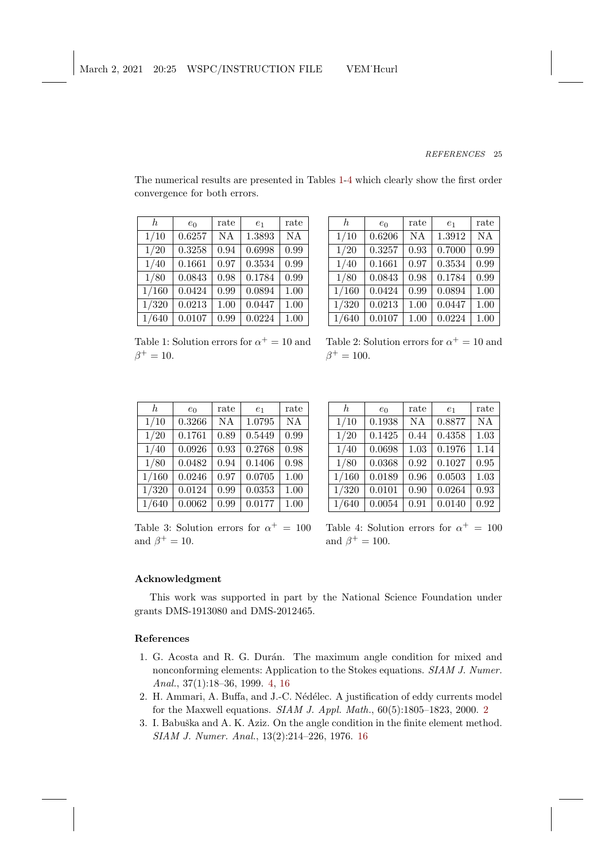The numerical results are presented in Tables [1](#page-24-3)[-4](#page-24-4) which clearly show the first order convergence for both errors.

<span id="page-24-3"></span>

| h.    | $e_0$  | rate      | e <sub>1</sub> | rate      |
|-------|--------|-----------|----------------|-----------|
| 1/10  | 0.6257 | <b>NA</b> | 1.3893         | <b>NA</b> |
| 1/20  | 0.3258 | 0.94      | 0.6998         | 0.99      |
| 1/40  | 0.1661 | 0.97      | 0.3534         | 0.99      |
| 1/80  | 0.0843 | 0.98      | 0.1784         | 0.99      |
| 1/160 | 0.0424 | 0.99      | 0.0894         | 1.00      |
| 1/320 | 0.0213 | 1.00      | 0.0447         | 1.00      |
| 1/640 | 0.0107 | 0.99      | 0.0224         | 1.00      |

 $h \mid e_0$  | rate |  $e_1$  | rate 1/10 0.6206 NA 1.3912 NA  $1/20$  0.3257 0.93 0.7000 0.99  $1/40$  0.1661 0.97 0.3534 0.99  $1/80$  | 0.0843 | 0.98 | 0.1784 | 0.99  $1/160$  0.0424 0.99 0.0894 1.00  $1/320$  | 0.0213 | 1.00 | 0.0447 | 1.00  $1/640$  0.0107 1.00 0.0224 1.00

Table 1: Solution errors for  $\alpha^+ = 10$  and  $\beta^+ = 10.$ 

Table 2: Solution errors for  $\alpha^+ = 10$  and  $\beta^+ = 100.$ 

 $h \mid e_0 \mid$  rate  $e_1 \mid$  rate  $1/10$  | 0.1938 | NA | 0.8877 | NA  $1/20$  0.1425 0.44 0.4358 1.03  $1/40$  0.0698 1.03 0.1976 1.14  $1/80$  0.0368 0.92 0.1027 0.95  $1/160$  0.0189 0.96 0.0503 1.03  $1/320$  | 0.0101 | 0.90 | 0.0264 | 0.93  $1/640$  | 0.0054 | 0.91 | 0.0140 | 0.92

<span id="page-24-4"></span>

| h.    | $e_0$  | rate      | e <sub>1</sub> | rate      |
|-------|--------|-----------|----------------|-----------|
| 1/10  | 0.3266 | <b>NA</b> | 1.0795         | <b>NA</b> |
| 1/20  | 0.1761 | 0.89      | 0.5449         | 0.99      |
| 1/40  | 0.0926 | 0.93      | 0.2768         | 0.98      |
| 1/80  | 0.0482 | 0.94      | 0.1406         | 0.98      |
| 1/160 | 0.0246 | 0.97      | 0.0705         | 1.00      |
| 1/320 | 0.0124 | 0.99      | 0.0353         | 1.00      |
| 1/640 | 0.0062 | 0.99      | 0.0177         | 1.00      |

Table 3: Solution errors for  $\alpha^+ = 100$ 

Table 4: Solution errors for  $\alpha^+ = 100$ and  $\beta^+ = 100$ .

# Acknowledgment

This work was supported in part by the National Science Foundation under grants DMS-1913080 and DMS-2012465.

# References

and  $\beta^+ = 10$ .

- <span id="page-24-1"></span>1. G. Acosta and R. G. Durán. The maximum angle condition for mixed and nonconforming elements: Application to the Stokes equations. SIAM J. Numer. Anal., 37(1):18–36, 1999. [4,](#page-3-0) [16](#page-15-4)
- <span id="page-24-0"></span>2. H. Ammari, A. Buffa, and J.-C. Nédélec. A justification of eddy currents model for the Maxwell equations. SIAM J. Appl. Math., 60(5):1805–1823, 2000. [2](#page-1-4)
- <span id="page-24-2"></span>3. I. Babuška and A. K. Aziz. On the angle condition in the finite element method. SIAM J. Numer. Anal., 13(2):214–226, 1976. [16](#page-15-4)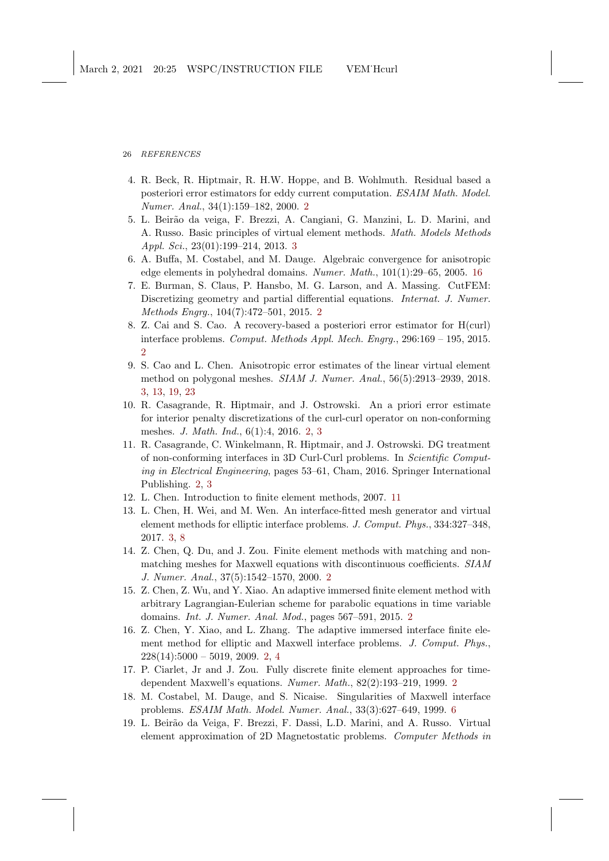26 REFERENCES

- <span id="page-25-0"></span>4. R. Beck, R. Hiptmair, R. H.W. Hoppe, and B. Wohlmuth. Residual based a posteriori error estimators for eddy current computation. ESAIM Math. Model. Numer. Anal., 34(1):159–182, 2000. [2](#page-1-4)
- <span id="page-25-11"></span>5. L. Beir˜ao da veiga, F. Brezzi, A. Cangiani, G. Manzini, L. D. Marini, and A. Russo. Basic principles of virtual element methods. Math. Models Methods Appl. Sci., 23(01):199–214, 2013. [3](#page-2-0)
- <span id="page-25-15"></span>6. A. Buffa, M. Costabel, and M. Dauge. Algebraic convergence for anisotropic edge elements in polyhedral domains. Numer. Math., 101(1):29–65, 2005. [16](#page-15-4)
- <span id="page-25-4"></span>7. E. Burman, S. Claus, P. Hansbo, M. G. Larson, and A. Massing. CutFEM: Discretizing geometry and partial differential equations. Internat. J. Numer. Methods Engrg., 104(7):472–501, 2015. [2](#page-1-4)
- <span id="page-25-2"></span>8. Z. Cai and S. Cao. A recovery-based a posteriori error estimator for H(curl) interface problems. Comput. Methods Appl. Mech. Engrg., 296:169 – 195, 2015. [2](#page-1-4)
- <span id="page-25-9"></span>9. S. Cao and L. Chen. Anisotropic error estimates of the linear virtual element method on polygonal meshes. SIAM J. Numer. Anal., 56(5):2913–2939, 2018. [3,](#page-2-0) [13,](#page-12-4) [19,](#page-18-5) [23](#page-22-4)
- <span id="page-25-6"></span>10. R. Casagrande, R. Hiptmair, and J. Ostrowski. An a priori error estimate for interior penalty discretizations of the curl-curl operator on non-conforming meshes. J. Math. Ind., 6(1):4, 2016. [2,](#page-1-4) [3](#page-2-0)
- <span id="page-25-7"></span>11. R. Casagrande, C. Winkelmann, R. Hiptmair, and J. Ostrowski. DG treatment of non-conforming interfaces in 3D Curl-Curl problems. In Scientific Computing in Electrical Engineering, pages 53–61, Cham, 2016. Springer International Publishing. [2,](#page-1-4) [3](#page-2-0)
- <span id="page-25-14"></span>12. L. Chen. Introduction to finite element methods, 2007. [11](#page-10-5)
- <span id="page-25-10"></span>13. L. Chen, H. Wei, and M. Wen. An interface-fitted mesh generator and virtual element methods for elliptic interface problems. J. Comput. Phys., 334:327–348, 2017. [3,](#page-2-0) [8](#page-7-2)
- <span id="page-25-8"></span>14. Z. Chen, Q. Du, and J. Zou. Finite element methods with matching and nonmatching meshes for Maxwell equations with discontinuous coefficients. SIAM J. Numer. Anal., 37(5):1542–1570, 2000. [2](#page-1-4)
- <span id="page-25-5"></span>15. Z. Chen, Z. Wu, and Y. Xiao. An adaptive immersed finite element method with arbitrary Lagrangian-Eulerian scheme for parabolic equations in time variable domains. Int. J. Numer. Anal. Mod., pages 567–591, 2015. [2](#page-1-4)
- <span id="page-25-3"></span>16. Z. Chen, Y. Xiao, and L. Zhang. The adaptive immersed interface finite element method for elliptic and Maxwell interface problems. J. Comput. Phys.,  $228(14):5000 - 5019, 2009, 2, 4$  $228(14):5000 - 5019, 2009, 2, 4$  $228(14):5000 - 5019, 2009, 2, 4$  $228(14):5000 - 5019, 2009, 2, 4$
- <span id="page-25-1"></span>17. P. Ciarlet, Jr and J. Zou. Fully discrete finite element approaches for timedependent Maxwell's equations. Numer. Math., 82(2):193–219, 1999. [2](#page-1-4)
- <span id="page-25-13"></span>18. M. Costabel, M. Dauge, and S. Nicaise. Singularities of Maxwell interface problems. ESAIM Math. Model. Numer. Anal., 33(3):627–649, 1999. [6](#page-5-3)
- <span id="page-25-12"></span>19. L. Beir˜ao da Veiga, F. Brezzi, F. Dassi, L.D. Marini, and A. Russo. Virtual element approximation of 2D Magnetostatic problems. Computer Methods in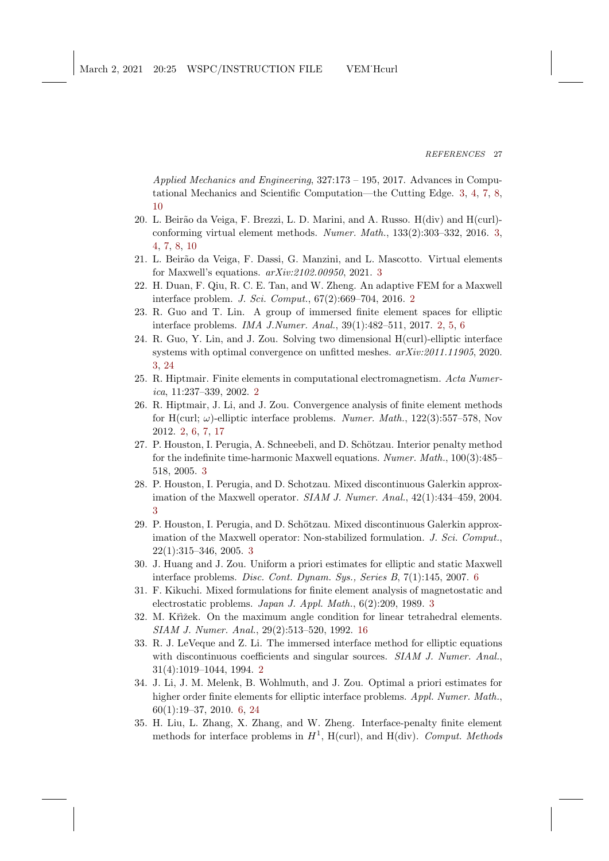Applied Mechanics and Engineering, 327:173 – 195, 2017. Advances in Computational Mechanics and Scientific Computation—the Cutting Edge. [3,](#page-2-0) [4,](#page-3-0) [7,](#page-6-4) [8,](#page-7-2) [10](#page-9-5)

- <span id="page-26-10"></span>20. L. Beir˜ao da Veiga, F. Brezzi, L. D. Marini, and A. Russo. H(div) and H(curl) conforming virtual element methods. Numer. Math., 133(2):303–332, 2016. [3,](#page-2-0) [4,](#page-3-0) [7,](#page-6-4) [8,](#page-7-2) [10](#page-9-5)
- <span id="page-26-12"></span>21. L. Beirão da Veiga, F. Dassi, G. Manzini, and L. Mascotto. Virtual elements for Maxwell's equations. arXiv:2102.00950, 2021. [3](#page-2-0)
- <span id="page-26-2"></span>22. H. Duan, F. Qiu, R. C. E. Tan, and W. Zheng. An adaptive FEM for a Maxwell interface problem. J. Sci. Comput., 67(2):669–704, 2016. [2](#page-1-4)
- <span id="page-26-3"></span>23. R. Guo and T. Lin. A group of immersed finite element spaces for elliptic interface problems. IMA J.Numer. Anal., 39(1):482–511, 2017. [2,](#page-1-4) [5,](#page-4-2) [6](#page-5-3)
- <span id="page-26-9"></span>24. R. Guo, Y. Lin, and J. Zou. Solving two dimensional H(curl)-elliptic interface systems with optimal convergence on unfitted meshes. arXiv:2011.11905, 2020. [3,](#page-2-0) [24](#page-23-1)
- <span id="page-26-0"></span>25. R. Hiptmair. Finite elements in computational electromagnetism. Acta Numerica, 11:237–339, 2002. [2](#page-1-4)
- <span id="page-26-1"></span>26. R. Hiptmair, J. Li, and J. Zou. Convergence analysis of finite element methods for H(curl;  $\omega$ )-elliptic interface problems. Numer. Math., 122(3):557–578, Nov 2012. [2,](#page-1-4) [6,](#page-5-3) [7,](#page-6-4) [17](#page-16-2)
- <span id="page-26-6"></span>27. P. Houston, I. Perugia, A. Schneebeli, and D. Schötzau. Interior penalty method for the indefinite time-harmonic Maxwell equations. Numer. Math., 100(3):485– 518, 2005. [3](#page-2-0)
- <span id="page-26-7"></span>28. P. Houston, I. Perugia, and D. Schotzau. Mixed discontinuous Galerkin approximation of the Maxwell operator. SIAM J. Numer. Anal., 42(1):434–459, 2004. [3](#page-2-0)
- <span id="page-26-8"></span>29. P. Houston, I. Perugia, and D. Schötzau. Mixed discontinuous Galerkin approximation of the Maxwell operator: Non-stabilized formulation. J. Sci. Comput., 22(1):315–346, 2005. [3](#page-2-0)
- <span id="page-26-14"></span>30. J. Huang and J. Zou. Uniform a priori estimates for elliptic and static Maxwell interface problems. Disc. Cont. Dynam. Sys., Series B, 7(1):145, 2007. [6](#page-5-3)
- <span id="page-26-11"></span>31. F. Kikuchi. Mixed formulations for finite element analysis of magnetostatic and electrostatic problems. Japan J. Appl. Math., 6(2):209, 1989. [3](#page-2-0)
- <span id="page-26-15"></span>32. M. Křižek. On the maximum angle condition for linear tetrahedral elements. SIAM J. Numer. Anal., 29(2):513–520, 1992. [16](#page-15-4)
- <span id="page-26-4"></span>33. R. J. LeVeque and Z. Li. The immersed interface method for elliptic equations with discontinuous coefficients and singular sources. SIAM J. Numer. Anal., 31(4):1019–1044, 1994. [2](#page-1-4)
- <span id="page-26-13"></span>34. J. Li, J. M. Melenk, B. Wohlmuth, and J. Zou. Optimal a priori estimates for higher order finite elements for elliptic interface problems. Appl. Numer. Math., 60(1):19–37, 2010. [6,](#page-5-3) [24](#page-23-1)
- <span id="page-26-5"></span>35. H. Liu, L. Zhang, X. Zhang, and W. Zheng. Interface-penalty finite element methods for interface problems in  $H^1$ , H(curl), and H(div). Comput. Methods